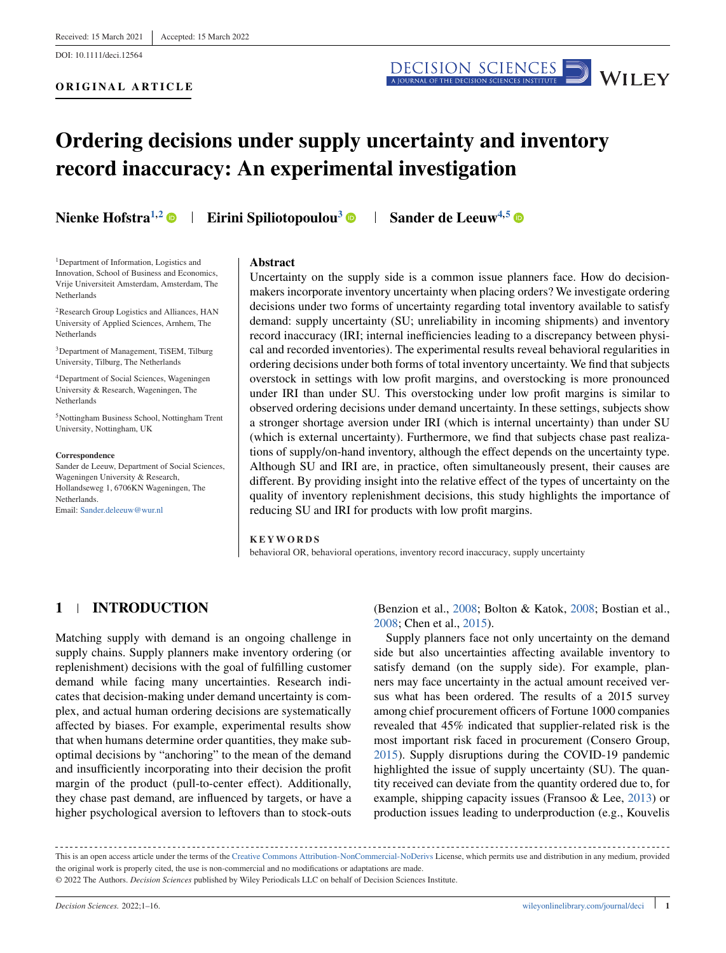DOI: 10.1111/deci.12564

**ORIGINAL ARTICLE**



# **Ordering decisions under supply uncertainty and inventory record inaccuracy: An experimental investigation**

**Nienke Hofstra<sup>1,2</sup> • Eirini Spiliotopoulou<sup>3</sup> • Sander de Leeuw<sup>4,5</sup> •** 

1Department of Information, Logistics and Innovation, School of Business and Economics, Vrije Universiteit Amsterdam, Amsterdam, The Netherlands

<sup>2</sup>Research Group Logistics and Alliances, HAN University of Applied Sciences, Arnhem, The Netherlands

3Department of Management, TiSEM, Tilburg University, Tilburg, The Netherlands

4Department of Social Sciences, Wageningen University & Research, Wageningen, The Netherlands

5Nottingham Business School, Nottingham Trent University, Nottingham, UK

#### **Correspondence**

Sander de Leeuw, Department of Social Sciences, Wageningen University & Research, Hollandseweg 1, 6706KN Wageningen, The **Netherlands** Email: [Sander.deleeuw@wur.nl](mailto:Sander.deleeuw@wur.nl)

#### **Abstract**

Uncertainty on the supply side is a common issue planners face. How do decisionmakers incorporate inventory uncertainty when placing orders? We investigate ordering decisions under two forms of uncertainty regarding total inventory available to satisfy demand: supply uncertainty (SU; unreliability in incoming shipments) and inventory record inaccuracy (IRI; internal inefficiencies leading to a discrepancy between physical and recorded inventories). The experimental results reveal behavioral regularities in ordering decisions under both forms of total inventory uncertainty. We find that subjects overstock in settings with low profit margins, and overstocking is more pronounced under IRI than under SU. This overstocking under low profit margins is similar to observed ordering decisions under demand uncertainty. In these settings, subjects show a stronger shortage aversion under IRI (which is internal uncertainty) than under SU (which is external uncertainty). Furthermore, we find that subjects chase past realizations of supply/on-hand inventory, although the effect depends on the uncertainty type. Although SU and IRI are, in practice, often simultaneously present, their causes are different. By providing insight into the relative effect of the types of uncertainty on the quality of inventory replenishment decisions, this study highlights the importance of reducing SU and IRI for products with low profit margins.

#### **KEYWORDS**

behavioral OR, behavioral operations, inventory record inaccuracy, supply uncertainty

# **1 INTRODUCTION**

Matching supply with demand is an ongoing challenge in supply chains. Supply planners make inventory ordering (or replenishment) decisions with the goal of fulfilling customer demand while facing many uncertainties. Research indicates that decision-making under demand uncertainty is complex, and actual human ordering decisions are systematically affected by biases. For example, experimental results show that when humans determine order quantities, they make suboptimal decisions by "anchoring" to the mean of the demand and insufficiently incorporating into their decision the profit margin of the product (pull-to-center effect). Additionally, they chase past demand, are influenced by targets, or have a higher psychological aversion to leftovers than to stock-outs

(Benzion et al., [2008;](#page-13-0) Bolton & Katok, [2008;](#page-13-0) Bostian et al., [2008;](#page-13-0) Chen et al., [2015\)](#page-13-0).

Supply planners face not only uncertainty on the demand side but also uncertainties affecting available inventory to satisfy demand (on the supply side). For example, planners may face uncertainty in the actual amount received versus what has been ordered. The results of a 2015 survey among chief procurement officers of Fortune 1000 companies revealed that 45% indicated that supplier-related risk is the most important risk faced in procurement (Consero Group, [2015\)](#page-13-0). Supply disruptions during the COVID-19 pandemic highlighted the issue of supply uncertainty (SU). The quantity received can deviate from the quantity ordered due to, for example, shipping capacity issues (Fransoo & Lee, [2013\)](#page-14-0) or production issues leading to underproduction (e.g., Kouvelis

This is an open access article under the terms of the [Creative Commons Attribution-NonCommercial-NoDerivs](http://creativecommons.org/licenses/by-nc-nd/4.0/) License, which permits use and distribution in any medium, provided the original work is properly cited, the use is non-commercial and no modifications or adaptations are made. © 2022 The Authors. *Decision Sciences* published by Wiley Periodicals LLC on behalf of Decision Sciences Institute.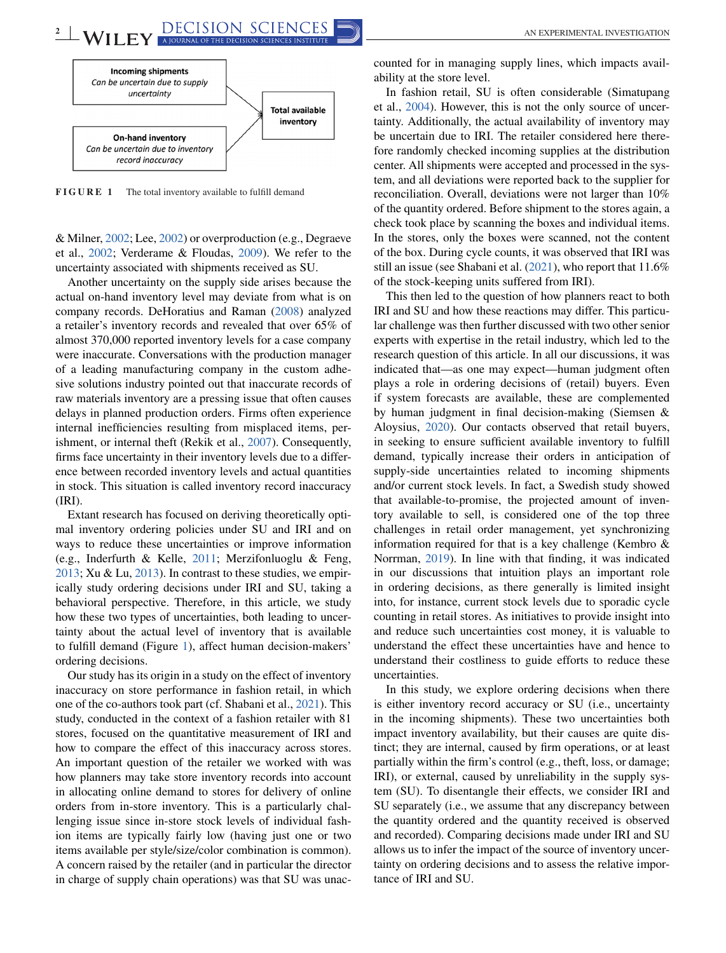

**FIGURE 1** The total inventory available to fulfill demand

& Milner, [2002;](#page-14-0) Lee, [2002\)](#page-14-0) or overproduction (e.g., Degraeve et al., [2002;](#page-13-0) Verderame & Floudas, [2009\)](#page-15-0). We refer to the uncertainty associated with shipments received as SU.

Another uncertainty on the supply side arises because the actual on-hand inventory level may deviate from what is on company records. DeHoratius and Raman [\(2008\)](#page-14-0) analyzed a retailer's inventory records and revealed that over 65% of almost 370,000 reported inventory levels for a case company were inaccurate. Conversations with the production manager of a leading manufacturing company in the custom adhesive solutions industry pointed out that inaccurate records of raw materials inventory are a pressing issue that often causes delays in planned production orders. Firms often experience internal inefficiencies resulting from misplaced items, perishment, or internal theft (Rekik et al., [2007\)](#page-14-0). Consequently, firms face uncertainty in their inventory levels due to a difference between recorded inventory levels and actual quantities in stock. This situation is called inventory record inaccuracy (IRI).

Extant research has focused on deriving theoretically optimal inventory ordering policies under SU and IRI and on ways to reduce these uncertainties or improve information (e.g., Inderfurth & Kelle, [2011;](#page-14-0) Merzifonluoglu & Feng, [2013;](#page-14-0) Xu & Lu, [2013\)](#page-15-0). In contrast to these studies, we empirically study ordering decisions under IRI and SU, taking a behavioral perspective. Therefore, in this article, we study how these two types of uncertainties, both leading to uncertainty about the actual level of inventory that is available to fulfill demand (Figure 1), affect human decision-makers' ordering decisions.

Our study has its origin in a study on the effect of inventory inaccuracy on store performance in fashion retail, in which one of the co-authors took part (cf. Shabani et al., [2021\)](#page-14-0). This study, conducted in the context of a fashion retailer with 81 stores, focused on the quantitative measurement of IRI and how to compare the effect of this inaccuracy across stores. An important question of the retailer we worked with was how planners may take store inventory records into account in allocating online demand to stores for delivery of online orders from in-store inventory. This is a particularly challenging issue since in-store stock levels of individual fashion items are typically fairly low (having just one or two items available per style/size/color combination is common). A concern raised by the retailer (and in particular the director in charge of supply chain operations) was that SU was unaccounted for in managing supply lines, which impacts availability at the store level.

In fashion retail, SU is often considerable (Simatupang et al., [2004\)](#page-15-0). However, this is not the only source of uncertainty. Additionally, the actual availability of inventory may be uncertain due to IRI. The retailer considered here therefore randomly checked incoming supplies at the distribution center. All shipments were accepted and processed in the system, and all deviations were reported back to the supplier for reconciliation. Overall, deviations were not larger than 10% of the quantity ordered. Before shipment to the stores again, a check took place by scanning the boxes and individual items. In the stores, only the boxes were scanned, not the content of the box. During cycle counts, it was observed that IRI was still an issue (see Shabani et al. [\(2021\)](#page-14-0), who report that 11.6% of the stock-keeping units suffered from IRI).

This then led to the question of how planners react to both IRI and SU and how these reactions may differ. This particular challenge was then further discussed with two other senior experts with expertise in the retail industry, which led to the research question of this article. In all our discussions, it was indicated that—as one may expect—human judgment often plays a role in ordering decisions of (retail) buyers. Even if system forecasts are available, these are complemented by human judgment in final decision-making (Siemsen & Aloysius, [2020\)](#page-15-0). Our contacts observed that retail buyers, in seeking to ensure sufficient available inventory to fulfill demand, typically increase their orders in anticipation of supply-side uncertainties related to incoming shipments and/or current stock levels. In fact, a Swedish study showed that available-to-promise, the projected amount of inventory available to sell, is considered one of the top three challenges in retail order management, yet synchronizing information required for that is a key challenge (Kembro & Norrman, [2019\)](#page-14-0). In line with that finding, it was indicated in our discussions that intuition plays an important role in ordering decisions, as there generally is limited insight into, for instance, current stock levels due to sporadic cycle counting in retail stores. As initiatives to provide insight into and reduce such uncertainties cost money, it is valuable to understand the effect these uncertainties have and hence to understand their costliness to guide efforts to reduce these uncertainties.

In this study, we explore ordering decisions when there is either inventory record accuracy or SU (i.e., uncertainty in the incoming shipments). These two uncertainties both impact inventory availability, but their causes are quite distinct; they are internal, caused by firm operations, or at least partially within the firm's control (e.g., theft, loss, or damage; IRI), or external, caused by unreliability in the supply system (SU). To disentangle their effects, we consider IRI and SU separately (i.e., we assume that any discrepancy between the quantity ordered and the quantity received is observed and recorded). Comparing decisions made under IRI and SU allows us to infer the impact of the source of inventory uncertainty on ordering decisions and to assess the relative importance of IRI and SU.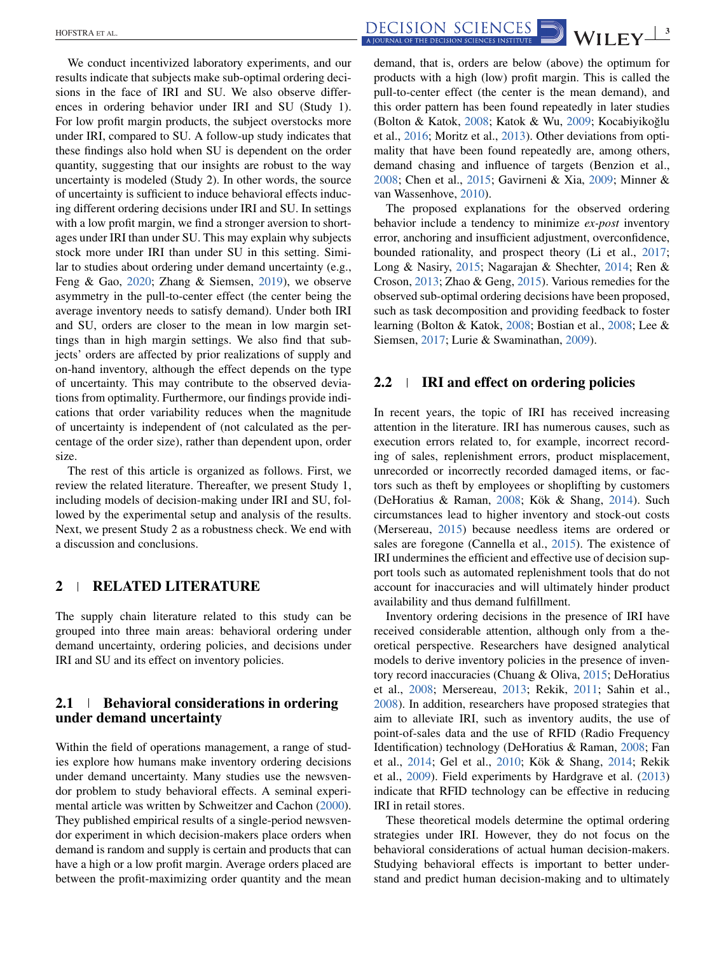We conduct incentivized laboratory experiments, and our results indicate that subjects make sub-optimal ordering decisions in the face of IRI and SU. We also observe differences in ordering behavior under IRI and SU (Study 1). For low profit margin products, the subject overstocks more under IRI, compared to SU. A follow-up study indicates that these findings also hold when SU is dependent on the order quantity, suggesting that our insights are robust to the way uncertainty is modeled (Study 2). In other words, the source of uncertainty is sufficient to induce behavioral effects inducing different ordering decisions under IRI and SU. In settings with a low profit margin, we find a stronger aversion to shortages under IRI than under SU. This may explain why subjects stock more under IRI than under SU in this setting. Similar to studies about ordering under demand uncertainty (e.g., Feng & Gao, [2020;](#page-14-0) Zhang & Siemsen, [2019\)](#page-15-0), we observe asymmetry in the pull-to-center effect (the center being the average inventory needs to satisfy demand). Under both IRI and SU, orders are closer to the mean in low margin settings than in high margin settings. We also find that subjects' orders are affected by prior realizations of supply and on-hand inventory, although the effect depends on the type of uncertainty. This may contribute to the observed deviations from optimality. Furthermore, our findings provide indications that order variability reduces when the magnitude of uncertainty is independent of (not calculated as the percentage of the order size), rather than dependent upon, order size.

The rest of this article is organized as follows. First, we review the related literature. Thereafter, we present Study 1, including models of decision-making under IRI and SU, followed by the experimental setup and analysis of the results. Next, we present Study 2 as a robustness check. We end with a discussion and conclusions.

# **2 RELATED LITERATURE**

The supply chain literature related to this study can be grouped into three main areas: behavioral ordering under demand uncertainty, ordering policies, and decisions under IRI and SU and its effect on inventory policies.

# **2.1 Behavioral considerations in ordering under demand uncertainty**

Within the field of operations management, a range of studies explore how humans make inventory ordering decisions under demand uncertainty. Many studies use the newsvendor problem to study behavioral effects. A seminal experimental article was written by Schweitzer and Cachon [\(2000\)](#page-14-0). They published empirical results of a single-period newsvendor experiment in which decision-makers place orders when demand is random and supply is certain and products that can have a high or a low profit margin. Average orders placed are between the profit-maximizing order quantity and the mean demand, that is, orders are below (above) the optimum for products with a high (low) profit margin. This is called the pull-to-center effect (the center is the mean demand), and this order pattern has been found repeatedly in later studies (Bolton & Katok, [2008;](#page-13-0) Katok & Wu, [2009;](#page-14-0) Kocabiyikoğlu et al., [2016;](#page-14-0) Moritz et al., [2013\)](#page-14-0). Other deviations from optimality that have been found repeatedly are, among others, demand chasing and influence of targets (Benzion et al., [2008;](#page-13-0) Chen et al., [2015;](#page-13-0) Gavirneni & Xia, [2009;](#page-14-0) Minner & van Wassenhove, [2010\)](#page-14-0).

The proposed explanations for the observed ordering behavior include a tendency to minimize *ex-post* inventory error, anchoring and insufficient adjustment, overconfidence, bounded rationality, and prospect theory (Li et al., [2017;](#page-14-0) Long & Nasiry, [2015;](#page-14-0) Nagarajan & Shechter, [2014;](#page-14-0) Ren & Croson, [2013;](#page-14-0) Zhao & Geng, [2015\)](#page-15-0). Various remedies for the observed sub-optimal ordering decisions have been proposed, such as task decomposition and providing feedback to foster learning (Bolton & Katok, [2008;](#page-13-0) Bostian et al., [2008;](#page-13-0) Lee & Siemsen, [2017;](#page-14-0) Lurie & Swaminathan, [2009\)](#page-14-0).

#### **2.2 IRI and effect on ordering policies**

In recent years, the topic of IRI has received increasing attention in the literature. IRI has numerous causes, such as execution errors related to, for example, incorrect recording of sales, replenishment errors, product misplacement, unrecorded or incorrectly recorded damaged items, or factors such as theft by employees or shoplifting by customers (DeHoratius & Raman, [2008;](#page-14-0) Kök & Shang, [2014\)](#page-14-0). Such circumstances lead to higher inventory and stock-out costs (Mersereau, [2015\)](#page-14-0) because needless items are ordered or sales are foregone (Cannella et al., [2015\)](#page-13-0). The existence of IRI undermines the efficient and effective use of decision support tools such as automated replenishment tools that do not account for inaccuracies and will ultimately hinder product availability and thus demand fulfillment.

Inventory ordering decisions in the presence of IRI have received considerable attention, although only from a theoretical perspective. Researchers have designed analytical models to derive inventory policies in the presence of inventory record inaccuracies (Chuang & Oliva, [2015;](#page-13-0) DeHoratius et al., [2008;](#page-14-0) Mersereau, [2013;](#page-14-0) Rekik, [2011;](#page-14-0) Sahin et al., [2008\)](#page-14-0). In addition, researchers have proposed strategies that aim to alleviate IRI, such as inventory audits, the use of point-of-sales data and the use of RFID (Radio Frequency Identification) technology (DeHoratius & Raman, [2008;](#page-14-0) Fan et al., [2014;](#page-14-0) Gel et al., [2010;](#page-14-0) Kök & Shang, [2014;](#page-14-0) Rekik et al., [2009\)](#page-14-0). Field experiments by Hardgrave et al. [\(2013\)](#page-14-0) indicate that RFID technology can be effective in reducing IRI in retail stores.

These theoretical models determine the optimal ordering strategies under IRI. However, they do not focus on the behavioral considerations of actual human decision-makers. Studying behavioral effects is important to better understand and predict human decision-making and to ultimately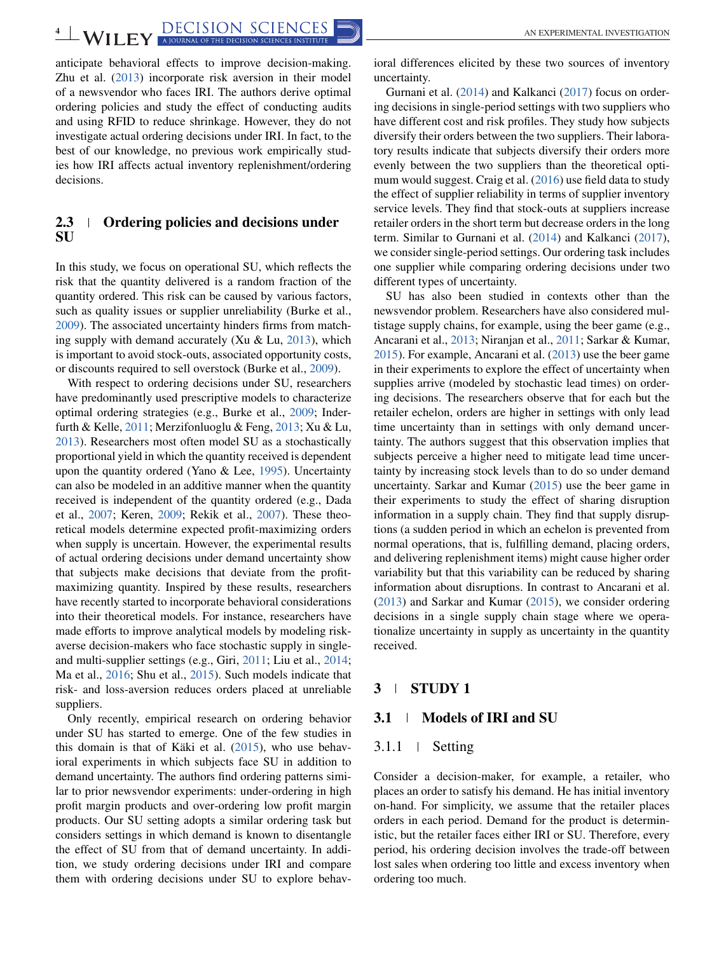anticipate behavioral effects to improve decision-making. Zhu et al. [\(2013\)](#page-15-0) incorporate risk aversion in their model of a newsvendor who faces IRI. The authors derive optimal ordering policies and study the effect of conducting audits and using RFID to reduce shrinkage. However, they do not investigate actual ordering decisions under IRI. In fact, to the best of our knowledge, no previous work empirically studies how IRI affects actual inventory replenishment/ordering decisions.

# **2.3 Ordering policies and decisions under SU**

In this study, we focus on operational SU, which reflects the risk that the quantity delivered is a random fraction of the quantity ordered. This risk can be caused by various factors, such as quality issues or supplier unreliability (Burke et al., [2009\)](#page-13-0). The associated uncertainty hinders firms from matching supply with demand accurately (Xu & Lu,  $2013$ ), which is important to avoid stock-outs, associated opportunity costs, or discounts required to sell overstock (Burke et al., [2009\)](#page-13-0).

With respect to ordering decisions under SU, researchers have predominantly used prescriptive models to characterize optimal ordering strategies (e.g., Burke et al., [2009;](#page-13-0) Inderfurth & Kelle, [2011;](#page-14-0) Merzifonluoglu & Feng, [2013;](#page-14-0) Xu & Lu, [2013\)](#page-15-0). Researchers most often model SU as a stochastically proportional yield in which the quantity received is dependent upon the quantity ordered (Yano & Lee, [1995\)](#page-15-0). Uncertainty can also be modeled in an additive manner when the quantity received is independent of the quantity ordered (e.g., Dada et al., [2007;](#page-13-0) Keren, [2009;](#page-14-0) Rekik et al., [2007\)](#page-14-0). These theoretical models determine expected profit-maximizing orders when supply is uncertain. However, the experimental results of actual ordering decisions under demand uncertainty show that subjects make decisions that deviate from the profitmaximizing quantity. Inspired by these results, researchers have recently started to incorporate behavioral considerations into their theoretical models. For instance, researchers have made efforts to improve analytical models by modeling riskaverse decision-makers who face stochastic supply in singleand multi-supplier settings (e.g., Giri, [2011;](#page-14-0) Liu et al., [2014;](#page-14-0) Ma et al., [2016;](#page-14-0) Shu et al., [2015\)](#page-14-0). Such models indicate that risk- and loss-aversion reduces orders placed at unreliable suppliers.

Only recently, empirical research on ordering behavior under SU has started to emerge. One of the few studies in this domain is that of Käki et al.  $(2015)$ , who use behavioral experiments in which subjects face SU in addition to demand uncertainty. The authors find ordering patterns similar to prior newsvendor experiments: under-ordering in high profit margin products and over-ordering low profit margin products. Our SU setting adopts a similar ordering task but considers settings in which demand is known to disentangle the effect of SU from that of demand uncertainty. In addition, we study ordering decisions under IRI and compare them with ordering decisions under SU to explore behav-

ioral differences elicited by these two sources of inventory uncertainty.

Gurnani et al. [\(2014\)](#page-14-0) and Kalkanci [\(2017\)](#page-14-0) focus on ordering decisions in single-period settings with two suppliers who have different cost and risk profiles. They study how subjects diversify their orders between the two suppliers. Their laboratory results indicate that subjects diversify their orders more evenly between the two suppliers than the theoretical optimum would suggest. Craig et al. [\(2016\)](#page-13-0) use field data to study the effect of supplier reliability in terms of supplier inventory service levels. They find that stock-outs at suppliers increase retailer orders in the short term but decrease orders in the long term. Similar to Gurnani et al. [\(2014\)](#page-14-0) and Kalkanci [\(2017\)](#page-14-0), we consider single-period settings. Our ordering task includes one supplier while comparing ordering decisions under two different types of uncertainty.

SU has also been studied in contexts other than the newsvendor problem. Researchers have also considered multistage supply chains, for example, using the beer game (e.g., Ancarani et al., [2013;](#page-13-0) Niranjan et al., [2011;](#page-14-0) Sarkar & Kumar, [2015\)](#page-14-0). For example, Ancarani et al. [\(2013\)](#page-13-0) use the beer game in their experiments to explore the effect of uncertainty when supplies arrive (modeled by stochastic lead times) on ordering decisions. The researchers observe that for each but the retailer echelon, orders are higher in settings with only lead time uncertainty than in settings with only demand uncertainty. The authors suggest that this observation implies that subjects perceive a higher need to mitigate lead time uncertainty by increasing stock levels than to do so under demand uncertainty. Sarkar and Kumar [\(2015\)](#page-14-0) use the beer game in their experiments to study the effect of sharing disruption information in a supply chain. They find that supply disruptions (a sudden period in which an echelon is prevented from normal operations, that is, fulfilling demand, placing orders, and delivering replenishment items) might cause higher order variability but that this variability can be reduced by sharing information about disruptions. In contrast to Ancarani et al. [\(2013\)](#page-13-0) and Sarkar and Kumar [\(2015\)](#page-14-0), we consider ordering decisions in a single supply chain stage where we operationalize uncertainty in supply as uncertainty in the quantity received.

## **3 STUDY 1**

#### **3.1 Models of IRI and SU**

## 3.1.1 Setting

Consider a decision-maker, for example, a retailer, who places an order to satisfy his demand. He has initial inventory on-hand. For simplicity, we assume that the retailer places orders in each period. Demand for the product is deterministic, but the retailer faces either IRI or SU. Therefore, every period, his ordering decision involves the trade-off between lost sales when ordering too little and excess inventory when ordering too much.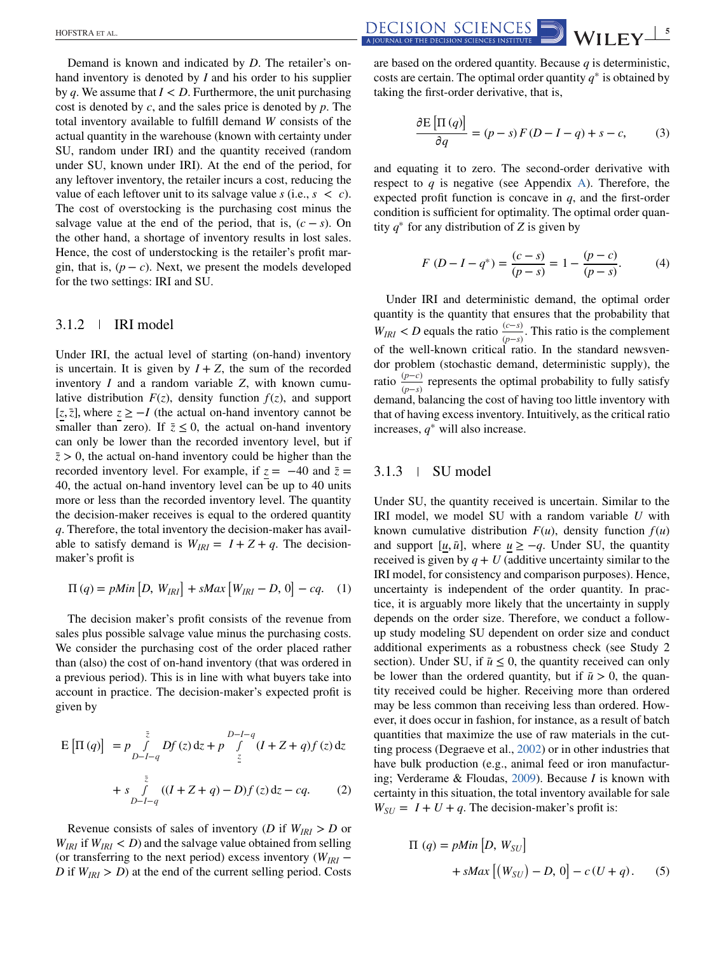Demand is known and indicated by *D*. The retailer's onhand inventory is denoted by *I* and his order to his supplier by *q*. We assume that  $I < D$ . Furthermore, the unit purchasing cost is denoted by *c*, and the sales price is denoted by *p*. The total inventory available to fulfill demand *W* consists of the actual quantity in the warehouse (known with certainty under SU, random under IRI) and the quantity received (random under SU, known under IRI). At the end of the period, for any leftover inventory, the retailer incurs a cost, reducing the value of each leftover unit to its salvage value  $s$  (i.e.,  $s < c$ ). The cost of overstocking is the purchasing cost minus the salvage value at the end of the period, that is,  $(c - s)$ . On the other hand, a shortage of inventory results in lost sales. Hence, the cost of understocking is the retailer's profit margin, that is,  $(p - c)$ . Next, we present the models developed for the two settings: IRI and SU.

# 3.1.2 IRI model

Under IRI, the actual level of starting (on-hand) inventory is uncertain. It is given by  $I + Z$ , the sum of the recorded inventory *I* and a random variable *Z*, with known cumulative distribution  $F(z)$ , density function  $f(z)$ , and support  $[z, \overline{z}]$ , where  $z \geq -I$  (the actual on-hand inventory cannot be smaller than zero). If  $\bar{z} \leq 0$ , the actual on-hand inventory can only be lower than the recorded inventory level, but if  $\bar{z}$  > 0, the actual on-hand inventory could be higher than the recorded inventory level. For example, if  $z = -40$  and  $\overline{z} =$ 40, the actual on-hand inventory level can be up to 40 units more or less than the recorded inventory level. The quantity the decision-maker receives is equal to the ordered quantity *q*. Therefore, the total inventory the decision-maker has available to satisfy demand is  $W_{IRI} = I + Z + q$ . The decisionmaker's profit is

$$
\Pi(q) = pMin [D, W_{IRI}] + sMax [W_{IRI} - D, 0] - cq. (1)
$$

The decision maker's profit consists of the revenue from sales plus possible salvage value minus the purchasing costs. We consider the purchasing cost of the order placed rather than (also) the cost of on-hand inventory (that was ordered in a previous period). This is in line with what buyers take into account in practice. The decision-maker's expected profit is given by

$$
E\left[\Pi(q)\right] = p \int_{D-I-q}^{\bar{z}} Df(z) dz + p \int_{\bar{z}}^{D-I-q} (I + Z + q) f(z) dz
$$
  
+ 
$$
s \int_{D-I-q}^{\bar{z}} ((I + Z + q) - D) f(z) dz - cq.
$$
 (2)

Revenue consists of sales of inventory (*D* if  $W_{IRI} > D$  or  $W_{IRI}$  if  $W_{IRI}$  < *D*) and the salvage value obtained from selling (or transferring to the next period) excess inventory (*WIRI* − *D* if  $W_{IRI} > D$ ) at the end of the current selling period. Costs

are based on the ordered quantity. Because *q* is deterministic, costs are certain. The optimal order quantity *q*<sup>∗</sup> is obtained by taking the first-order derivative, that is,

$$
\frac{\partial E\left[\Pi\left(q\right)\right]}{\partial q} = (p-s)F(D-I-q) + s - c,\tag{3}
$$

and equating it to zero. The second-order derivative with respect to  $q$  is negative (see Appendix A). Therefore, the expected profit function is concave in *q*, and the first-order condition is sufficient for optimality. The optimal order quantity  $q^*$  for any distribution of *Z* is given by

$$
F(D - I - q^{*}) = \frac{(c - s)}{(p - s)} = 1 - \frac{(p - c)}{(p - s)}.
$$
 (4)

Under IRI and deterministic demand, the optimal order quantity is the quantity that ensures that the probability that  $W_{IRI}$  < *D* equals the ratio  $\frac{(c-s)}{(p-s)}$ . This ratio is the complement of the well-known critical ratio. In the standard newsvendor problem (stochastic demand, deterministic supply), the ratio  $\frac{(p-c)}{(p-s)}$  represents the optimal probability to fully satisfy demand, balancing the cost of having too little inventory with that of having excess inventory. Intuitively, as the critical ratio increases, *q*<sup>∗</sup> will also increase.

## $3.1.3$  | SU model

Under SU, the quantity received is uncertain. Similar to the IRI model, we model SU with a random variable *U* with known cumulative distribution  $F(u)$ , density function  $f(u)$ and support  $[u, \bar{u}]$ , where  $u \ge -q$ . Under SU, the quantity received is given by  $q + U$  (additive uncertainty similar to the IRI model, for consistency and comparison purposes). Hence, uncertainty is independent of the order quantity. In practice, it is arguably more likely that the uncertainty in supply depends on the order size. Therefore, we conduct a followup study modeling SU dependent on order size and conduct additional experiments as a robustness check (see Study 2 section). Under SU, if  $\bar{u} \leq 0$ , the quantity received can only be lower than the ordered quantity, but if  $\bar{u} > 0$ , the quantity received could be higher. Receiving more than ordered may be less common than receiving less than ordered. However, it does occur in fashion, for instance, as a result of batch quantities that maximize the use of raw materials in the cutting process (Degraeve et al., [2002\)](#page-13-0) or in other industries that have bulk production (e.g., animal feed or iron manufacturing; Verderame & Floudas, [2009\)](#page-15-0). Because *I* is known with certainty in this situation, the total inventory available for sale  $W_{SU} = I + U + q$ . The decision-maker's profit is:

$$
\Pi (q) = pMin [D, W_{SU}]
$$
  
+  $sMax [(W_{SU}) - D, 0] - c (U + q)$ . (5)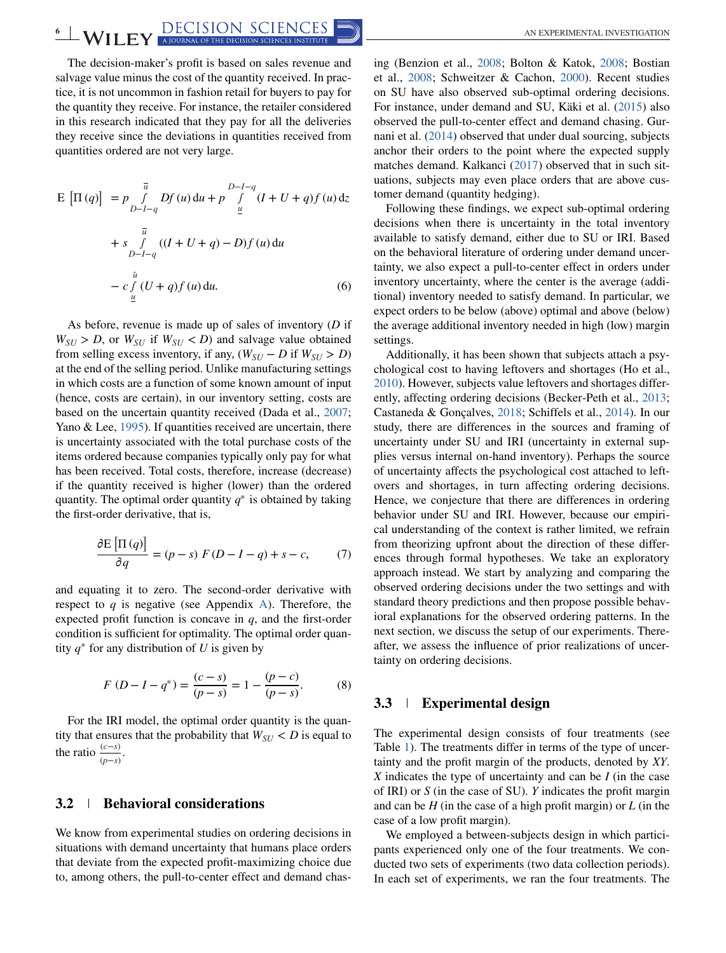The decision-maker's profit is based on sales revenue and salvage value minus the cost of the quantity received. In practice, it is not uncommon in fashion retail for buyers to pay for the quantity they receive. For instance, the retailer considered in this research indicated that they pay for all the deliveries they receive since the deviations in quantities received from quantities ordered are not very large.

$$
E\left[\Pi(q)\right] = p \int_{D-I-q}^{\overline{u}} Df(u) du + p \int_{\underline{u}}^{D-I-q} (I + U + q)f(u) dz
$$
  
+ 
$$
s \int_{D-I-q}^{\overline{u}} ((I + U + q) - D)f(u) du
$$
  
- 
$$
c \int_{\underline{u}}^{\overline{u}} (U + q)f(u) du.
$$
 (6)

As before, revenue is made up of sales of inventory (*D* if  $W_{SU} > D$ , or  $W_{SU}$  if  $W_{SU} < D$ ) and salvage value obtained from selling excess inventory, if any,  $(W_{SII} - D$  if  $W_{SII} > D)$ at the end of the selling period. Unlike manufacturing settings in which costs are a function of some known amount of input (hence, costs are certain), in our inventory setting, costs are based on the uncertain quantity received (Dada et al., [2007;](#page-13-0) Yano & Lee, [1995\)](#page-15-0). If quantities received are uncertain, there is uncertainty associated with the total purchase costs of the items ordered because companies typically only pay for what has been received. Total costs, therefore, increase (decrease) if the quantity received is higher (lower) than the ordered quantity. The optimal order quantity *q*<sup>∗</sup> is obtained by taking the first-order derivative, that is,

$$
\frac{\partial E\left[\Pi\left(q\right)\right]}{\partial q} = (p - s) F(D - I - q) + s - c,\tag{7}
$$

and equating it to zero. The second-order derivative with respect to  $q$  is negative (see Appendix A). Therefore, the expected profit function is concave in *q*, and the first-order condition is sufficient for optimality. The optimal order quantity  $q^*$  for any distribution of *U* is given by

$$
F(D - I - q^*) = \frac{(c - s)}{(p - s)} = 1 - \frac{(p - c)}{(p - s)}.
$$
 (8)

For the IRI model, the optimal order quantity is the quantity that ensures that the probability that  $W_{SU}$  < *D* is equal to the ratio  $\frac{(c-s)}{(p-s)}$ .

#### **3.2 Behavioral considerations**

We know from experimental studies on ordering decisions in situations with demand uncertainty that humans place orders that deviate from the expected profit-maximizing choice due to, among others, the pull-to-center effect and demand chas-

ing (Benzion et al., [2008;](#page-13-0) Bolton & Katok, [2008;](#page-13-0) Bostian et al., [2008;](#page-13-0) Schweitzer & Cachon, [2000\)](#page-14-0). Recent studies on SU have also observed sub-optimal ordering decisions. For instance, under demand and SU, Käki et al. [\(2015\)](#page-14-0) also observed the pull-to-center effect and demand chasing. Gurnani et al. [\(2014\)](#page-14-0) observed that under dual sourcing, subjects anchor their orders to the point where the expected supply matches demand. Kalkanci [\(2017\)](#page-14-0) observed that in such situations, subjects may even place orders that are above customer demand (quantity hedging).

Following these findings, we expect sub-optimal ordering decisions when there is uncertainty in the total inventory available to satisfy demand, either due to SU or IRI. Based on the behavioral literature of ordering under demand uncertainty, we also expect a pull-to-center effect in orders under inventory uncertainty, where the center is the average (additional) inventory needed to satisfy demand. In particular, we expect orders to be below (above) optimal and above (below) the average additional inventory needed in high (low) margin settings.

Additionally, it has been shown that subjects attach a psychological cost to having leftovers and shortages (Ho et al., [2010\)](#page-14-0). However, subjects value leftovers and shortages differently, affecting ordering decisions (Becker-Peth et al., [2013;](#page-13-0) Castaneda & Gonçalves, [2018;](#page-13-0) Schiffels et al., [2014\)](#page-14-0). In our study, there are differences in the sources and framing of uncertainty under SU and IRI (uncertainty in external supplies versus internal on-hand inventory). Perhaps the source of uncertainty affects the psychological cost attached to leftovers and shortages, in turn affecting ordering decisions. Hence, we conjecture that there are differences in ordering behavior under SU and IRI. However, because our empirical understanding of the context is rather limited, we refrain from theorizing upfront about the direction of these differences through formal hypotheses. We take an exploratory approach instead. We start by analyzing and comparing the observed ordering decisions under the two settings and with standard theory predictions and then propose possible behavioral explanations for the observed ordering patterns. In the next section, we discuss the setup of our experiments. Thereafter, we assess the influence of prior realizations of uncertainty on ordering decisions.

### **3.3 Experimental design**

The experimental design consists of four treatments (see Table [1\)](#page-6-0). The treatments differ in terms of the type of uncertainty and the profit margin of the products, denoted by *XY*. *X* indicates the type of uncertainty and can be *I* (in the case of IRI) or *S* (in the case of SU). *Y* indicates the profit margin and can be *H* (in the case of a high profit margin) or *L* (in the case of a low profit margin).

We employed a between-subjects design in which participants experienced only one of the four treatments. We conducted two sets of experiments (two data collection periods). In each set of experiments, we ran the four treatments. The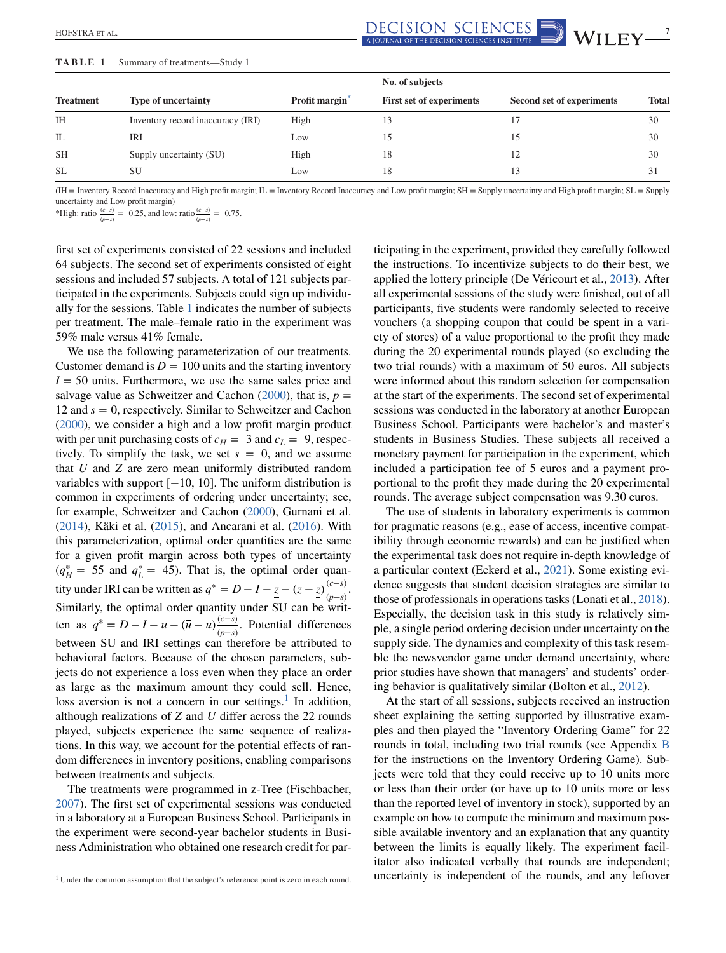<span id="page-6-0"></span> $\frac{\text{DECISION SCIENCES}}{\text{A IQURNA OF THE DECISION SCIENCES}}$  **WILEY** 

#### **TABLE 1** Summary of treatments—Study 1

|                  |                                   |                            | No. of subjects                 |                           |              |
|------------------|-----------------------------------|----------------------------|---------------------------------|---------------------------|--------------|
| <b>Treatment</b> | <b>Type of uncertainty</b>        | Profit margin <sup>*</sup> | <b>First set of experiments</b> | Second set of experiments | <b>Total</b> |
| <b>IH</b>        | Inventory record inaccuracy (IRI) | High                       |                                 |                           | 30           |
| IL               | IRI                               | Low                        |                                 | 15                        | 30           |
| <b>SH</b>        | Supply uncertainty (SU)           | High                       | 18                              | 12                        | 30           |
| <b>SL</b>        | SU                                | Low                        | 18                              | 13                        | 31           |

(IH = Inventory Record Inaccuracy and High profit margin; IL = Inventory Record Inaccuracy and Low profit margin; SH = Supply uncertainty and High profit margin; SL = Supply uncertainty and Low profit margin)

\*High: ratio  $\frac{(c-s)}{(p-s)} = 0.25$ , and low: ratio  $\frac{(c-s)}{(p-s)} = 0.75$ .

first set of experiments consisted of 22 sessions and included 64 subjects. The second set of experiments consisted of eight sessions and included 57 subjects. A total of 121 subjects participated in the experiments. Subjects could sign up individually for the sessions. Table 1 indicates the number of subjects per treatment. The male–female ratio in the experiment was 59% male versus 41% female.

We use the following parameterization of our treatments. Customer demand is  $D = 100$  units and the starting inventory  $I = 50$  units. Furthermore, we use the same sales price and salvage value as Schweitzer and Cachon  $(2000)$ , that is,  $p =$ 12 and *s* = 0, respectively. Similar to Schweitzer and Cachon [\(2000\)](#page-14-0), we consider a high and a low profit margin product with per unit purchasing costs of  $c_H = 3$  and  $c_L = 9$ , respectively. To simplify the task, we set  $s = 0$ , and we assume that *U* and *Z* are zero mean uniformly distributed random variables with support [−10, 10]. The uniform distribution is common in experiments of ordering under uncertainty; see, for example, Schweitzer and Cachon [\(2000\)](#page-14-0), Gurnani et al. [\(2014\)](#page-14-0), Käki et al. [\(2015\)](#page-14-0), and Ancarani et al. [\(2016\)](#page-13-0). With this parameterization, optimal order quantities are the same for a given profit margin across both types of uncertainty  $(q_H^* = 55 \text{ and } q_L^* = 45)$ . That is, the optimal order quantity under IRI can be written as  $q^* = D - I - z - (\overline{z} - z) \frac{(c-s)}{s}$  $\frac{(c-s)}{(p-s)}$ . Similarly, the optimal order quantity under SU can be written as  $q^* = D - I - \underline{u} - (\overline{u} - \underline{u}) \frac{(c-s)}{(s-s)}$ (*p*−*s*) . Potential differences between SU and IRI settings can therefore be attributed to behavioral factors. Because of the chosen parameters, subjects do not experience a loss even when they place an order as large as the maximum amount they could sell. Hence, loss aversion is not a concern in our settings.<sup>1</sup> In addition, although realizations of *Z* and *U* differ across the 22 rounds played, subjects experience the same sequence of realizations. In this way, we account for the potential effects of random differences in inventory positions, enabling comparisons between treatments and subjects.

The treatments were programmed in z-Tree (Fischbacher, [2007\)](#page-14-0). The first set of experimental sessions was conducted in a laboratory at a European Business School. Participants in the experiment were second-year bachelor students in Business Administration who obtained one research credit for par-

ticipating in the experiment, provided they carefully followed the instructions. To incentivize subjects to do their best, we applied the lottery principle (De Véricourt et al., [2013\)](#page-13-0). After all experimental sessions of the study were finished, out of all participants, five students were randomly selected to receive vouchers (a shopping coupon that could be spent in a variety of stores) of a value proportional to the profit they made during the 20 experimental rounds played (so excluding the two trial rounds) with a maximum of 50 euros. All subjects were informed about this random selection for compensation at the start of the experiments. The second set of experimental sessions was conducted in the laboratory at another European Business School. Participants were bachelor's and master's students in Business Studies. These subjects all received a monetary payment for participation in the experiment, which included a participation fee of 5 euros and a payment proportional to the profit they made during the 20 experimental rounds. The average subject compensation was 9.30 euros.

The use of students in laboratory experiments is common for pragmatic reasons (e.g., ease of access, incentive compatibility through economic rewards) and can be justified when the experimental task does not require in-depth knowledge of a particular context (Eckerd et al., [2021\)](#page-14-0). Some existing evidence suggests that student decision strategies are similar to those of professionals in operations tasks (Lonati et al., [2018\)](#page-14-0). Especially, the decision task in this study is relatively simple, a single period ordering decision under uncertainty on the supply side. The dynamics and complexity of this task resemble the newsvendor game under demand uncertainty, where prior studies have shown that managers' and students' ordering behavior is qualitatively similar (Bolton et al., [2012\)](#page-13-0).

At the start of all sessions, subjects received an instruction sheet explaining the setting supported by illustrative examples and then played the "Inventory Ordering Game" for 22 rounds in total, including two trial rounds (see Appendix B for the instructions on the Inventory Ordering Game). Subjects were told that they could receive up to 10 units more or less than their order (or have up to 10 units more or less than the reported level of inventory in stock), supported by an example on how to compute the minimum and maximum possible available inventory and an explanation that any quantity between the limits is equally likely. The experiment facilitator also indicated verbally that rounds are independent; uncertainty is independent of the rounds, and any leftover

<sup>&</sup>lt;sup>1</sup> Under the common assumption that the subject's reference point is zero in each round.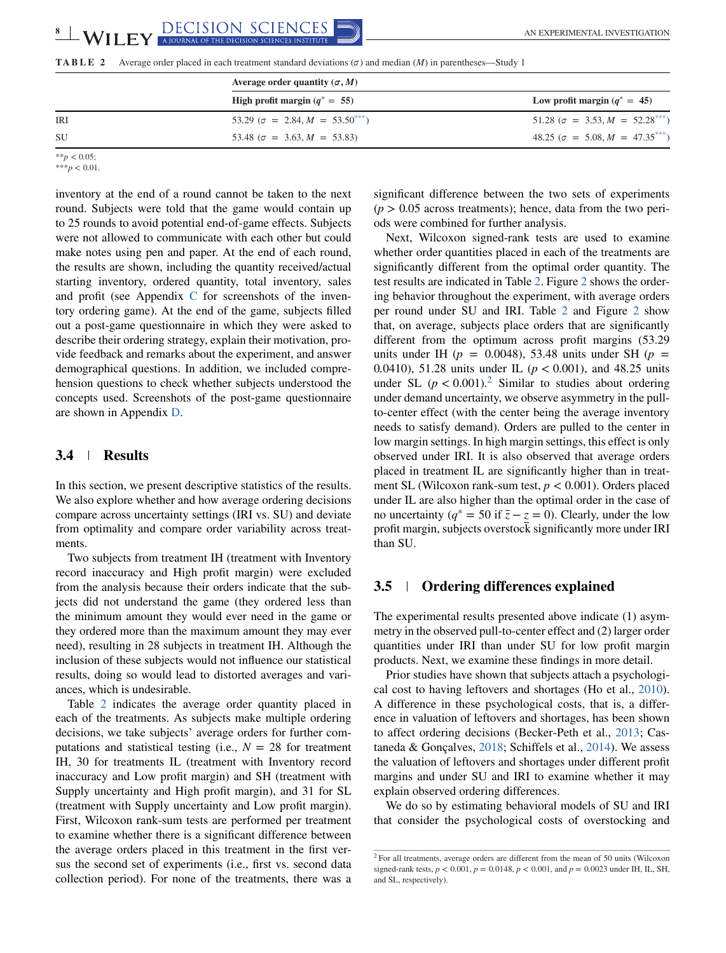**TABLE 2** Average order placed in each treatment standard deviations  $(\sigma)$  and median  $(M)$  in parentheses—Study 1

|           | Average order quantity $(\sigma, M)$       |                                           |  |
|-----------|--------------------------------------------|-------------------------------------------|--|
|           | High profit margin $(q^* = 55)$            | Low profit margin $(q^* = 45)$            |  |
| IRI       | 53.29 ( $\sigma = 2.84, M = 53.50^{***}$ ) | 51.28 ( $\sigma = 3.53, M = 52.28***$ )   |  |
| <b>SU</b> | 53.48 ( $\sigma = 3.63, M = 53.83$ )       | $48.25$ ( $\sigma = 5.08, M = 47.35***$ ) |  |

\*\**p* < 0.05;  $***p<0.01$ .

inventory at the end of a round cannot be taken to the next round. Subjects were told that the game would contain up to 25 rounds to avoid potential end-of-game effects. Subjects were not allowed to communicate with each other but could make notes using pen and paper. At the end of each round, the results are shown, including the quantity received/actual starting inventory, ordered quantity, total inventory, sales and profit (see Appendix C for screenshots of the inventory ordering game). At the end of the game, subjects filled out a post-game questionnaire in which they were asked to describe their ordering strategy, explain their motivation, provide feedback and remarks about the experiment, and answer demographical questions. In addition, we included comprehension questions to check whether subjects understood the concepts used. Screenshots of the post-game questionnaire are shown in Appendix D.

## **3.4 Results**

In this section, we present descriptive statistics of the results. We also explore whether and how average ordering decisions compare across uncertainty settings (IRI vs. SU) and deviate from optimality and compare order variability across treatments.

Two subjects from treatment IH (treatment with Inventory record inaccuracy and High profit margin) were excluded from the analysis because their orders indicate that the subjects did not understand the game (they ordered less than the minimum amount they would ever need in the game or they ordered more than the maximum amount they may ever need), resulting in 28 subjects in treatment IH. Although the inclusion of these subjects would not influence our statistical results, doing so would lead to distorted averages and variances, which is undesirable.

Table 2 indicates the average order quantity placed in each of the treatments. As subjects make multiple ordering decisions, we take subjects' average orders for further computations and statistical testing (i.e.,  $N = 28$  for treatment IH, 30 for treatments IL (treatment with Inventory record inaccuracy and Low profit margin) and SH (treatment with Supply uncertainty and High profit margin), and 31 for SL (treatment with Supply uncertainty and Low profit margin). First, Wilcoxon rank-sum tests are performed per treatment to examine whether there is a significant difference between the average orders placed in this treatment in the first versus the second set of experiments (i.e., first vs. second data collection period). For none of the treatments, there was a

significant difference between the two sets of experiments  $(p > 0.05$  across treatments); hence, data from the two periods were combined for further analysis.

Next, Wilcoxon signed-rank tests are used to examine whether order quantities placed in each of the treatments are significantly different from the optimal order quantity. The test results are indicated in Table 2. Figure [2](#page-8-0) shows the ordering behavior throughout the experiment, with average orders per round under SU and IRI. Table 2 and Figure [2](#page-8-0) show that, on average, subjects place orders that are significantly different from the optimum across profit margins (53.29 units under IH ( $p = 0.0048$ ), 53.48 units under SH ( $p =$ 0.0410), 51.28 units under IL (*p* < 0.001), and 48.25 units under SL  $(p < 0.001)$ .<sup>2</sup> Similar to studies about ordering under demand uncertainty, we observe asymmetry in the pullto-center effect (with the center being the average inventory needs to satisfy demand). Orders are pulled to the center in low margin settings. In high margin settings, this effect is only observed under IRI. It is also observed that average orders placed in treatment IL are significantly higher than in treatment SL (Wilcoxon rank-sum test, *p* < 0.001). Orders placed under IL are also higher than the optimal order in the case of no uncertainty ( $q^* = 50$  if  $\overline{z} - z = 0$ ). Clearly, under the low profit margin, subjects overstock significantly more under IRI than SU.

#### **3.5 Ordering differences explained**

The experimental results presented above indicate (1) asymmetry in the observed pull-to-center effect and (2) larger order quantities under IRI than under SU for low profit margin products. Next, we examine these findings in more detail.

Prior studies have shown that subjects attach a psychological cost to having leftovers and shortages (Ho et al., [2010\)](#page-14-0). A difference in these psychological costs, that is, a difference in valuation of leftovers and shortages, has been shown to affect ordering decisions (Becker-Peth et al., [2013;](#page-13-0) Castaneda & Gonçalves, [2018;](#page-13-0) Schiffels et al., [2014\)](#page-14-0). We assess the valuation of leftovers and shortages under different profit margins and under SU and IRI to examine whether it may explain observed ordering differences.

We do so by estimating behavioral models of SU and IRI that consider the psychological costs of overstocking and

<sup>&</sup>lt;sup>2</sup> For all treatments, average orders are different from the mean of 50 units (Wilcoxon signed-rank tests,  $p < 0.001$ ,  $p = 0.0148$ ,  $p < 0.001$ , and  $p = 0.0023$  under IH, IL, SH, and SL, respectively).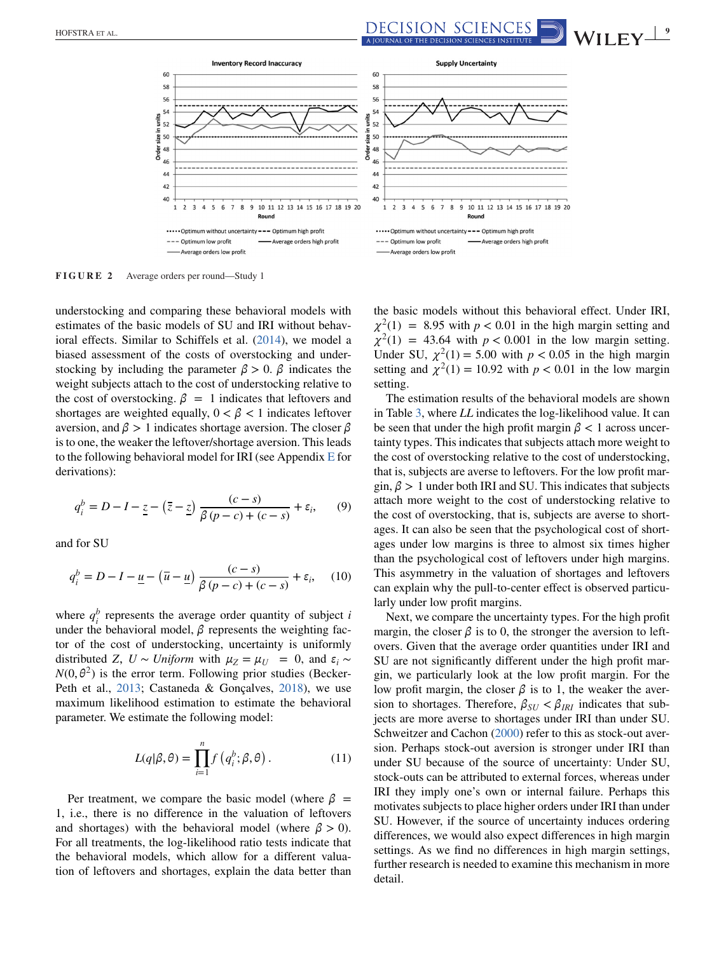<span id="page-8-0"></span>HOFSTRA ET AL. **1998 ALL AND REAL PROPERTY A LOURNAL OF THE DECISION SCIENCES MATTUTE MANIFE WITH**  $\blacksquare$  **WITH**  $\blacksquare$ 



**FIGURE 2** Average orders per round—Study 1

understocking and comparing these behavioral models with estimates of the basic models of SU and IRI without behavioral effects. Similar to Schiffels et al. [\(2014\)](#page-14-0), we model a biased assessment of the costs of overstocking and understocking by including the parameter  $\beta > 0$ .  $\beta$  indicates the weight subjects attach to the cost of understocking relative to the cost of overstocking.  $\beta = 1$  indicates that leftovers and shortages are weighted equally,  $0 < \beta < 1$  indicates leftover aversion, and  $\beta > 1$  indicates shortage aversion. The closer  $\beta$ is to one, the weaker the leftover/shortage aversion. This leads to the following behavioral model for IRI (see Appendix E for derivations):

$$
q_i^b = D - I - \underline{z} - (\overline{z} - \underline{z}) \frac{(c - s)}{\beta (p - c) + (c - s)} + \varepsilon_i, \qquad (9)
$$

and for SU

$$
q_i^b = D - I - \underline{u} - (\overline{u} - \underline{u}) \frac{(c - s)}{\beta (p - c) + (c - s)} + \varepsilon_i, \quad (10)
$$

where  $q_i^b$  represents the average order quantity of subject *i* under the behavioral model,  $\beta$  represents the weighting factor of the cost of understocking, uncertainty is uniformly distributed *Z*, *U* ∼ *Uniform* with  $\mu_Z = \mu_U = 0$ , and  $\varepsilon_i$  ∼  $N(0, \theta^2)$  is the error term. Following prior studies (Becker-Peth et al., [2013;](#page-13-0) Castaneda & Gonçalves, [2018\)](#page-13-0), we use maximum likelihood estimation to estimate the behavioral parameter. We estimate the following model:

$$
L(q|\beta,\theta) = \prod_{i=1}^{n} f(q_i^b; \beta, \theta).
$$
 (11)

Per treatment, we compare the basic model (where  $\beta$  = 1, i.e., there is no difference in the valuation of leftovers and shortages) with the behavioral model (where  $\beta > 0$ ). For all treatments, the log-likelihood ratio tests indicate that the behavioral models, which allow for a different valuation of leftovers and shortages, explain the data better than

the basic models without this behavioral effect. Under IRI,  $\chi^2(1)$  = 8.95 with *p* < 0.01 in the high margin setting and  $\chi^2(1) = 43.64$  with  $p < 0.001$  in the low margin setting. Under SU,  $\chi^2(1) = 5.00$  with  $p < 0.05$  in the high margin setting and  $\chi^2(1) = 10.92$  with  $p < 0.01$  in the low margin setting.

The estimation results of the behavioral models are shown in Table [3,](#page-9-0) where *LL* indicates the log-likelihood value. It can be seen that under the high profit margin  $\beta$  < 1 across uncertainty types. This indicates that subjects attach more weight to the cost of overstocking relative to the cost of understocking, that is, subjects are averse to leftovers. For the low profit margin,  $\beta > 1$  under both IRI and SU. This indicates that subjects attach more weight to the cost of understocking relative to the cost of overstocking, that is, subjects are averse to shortages. It can also be seen that the psychological cost of shortages under low margins is three to almost six times higher than the psychological cost of leftovers under high margins. This asymmetry in the valuation of shortages and leftovers can explain why the pull-to-center effect is observed particularly under low profit margins.

Next, we compare the uncertainty types. For the high profit margin, the closer  $\beta$  is to 0, the stronger the aversion to leftovers. Given that the average order quantities under IRI and SU are not significantly different under the high profit margin, we particularly look at the low profit margin. For the low profit margin, the closer  $\beta$  is to 1, the weaker the aversion to shortages. Therefore,  $\beta_{SU} < \beta_{IRI}$  indicates that subjects are more averse to shortages under IRI than under SU. Schweitzer and Cachon [\(2000\)](#page-14-0) refer to this as stock-out aversion. Perhaps stock-out aversion is stronger under IRI than under SU because of the source of uncertainty: Under SU, stock-outs can be attributed to external forces, whereas under IRI they imply one's own or internal failure. Perhaps this motivates subjects to place higher orders under IRI than under SU. However, if the source of uncertainty induces ordering differences, we would also expect differences in high margin settings. As we find no differences in high margin settings, further research is needed to examine this mechanism in more detail.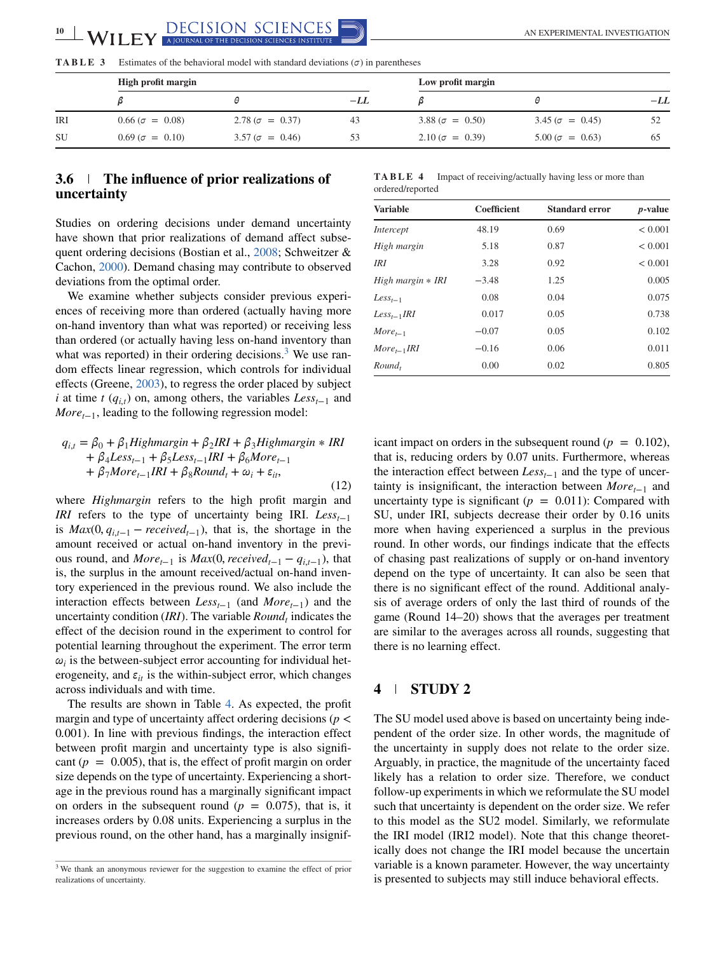<span id="page-9-0"></span>

**TABLE 3** Estimates of the behavioral model with standard deviations ( $\sigma$ ) in parentheses

|            | High profit margin     |                        | Low profit margin |                        |                        |       |
|------------|------------------------|------------------------|-------------------|------------------------|------------------------|-------|
|            |                        |                        | $-LL$             |                        |                        | $-LL$ |
| <b>IRI</b> | $0.66 (\sigma = 0.08)$ | $2.78 (\sigma = 0.37)$ | 43                | $3.88 (\sigma = 0.50)$ | $3.45 (\sigma = 0.45)$ |       |
| <b>SU</b>  | $0.69 (\sigma = 0.10)$ | $3.57 (\sigma = 0.46)$ |                   | $2.10 (\sigma = 0.39)$ | $5.00 (\sigma = 0.63)$ |       |

## **3.6 The influence of prior realizations of uncertainty**

Studies on ordering decisions under demand uncertainty have shown that prior realizations of demand affect subsequent ordering decisions (Bostian et al., [2008;](#page-13-0) Schweitzer & Cachon, [2000\)](#page-14-0). Demand chasing may contribute to observed deviations from the optimal order.

We examine whether subjects consider previous experiences of receiving more than ordered (actually having more on-hand inventory than what was reported) or receiving less than ordered (or actually having less on-hand inventory than what was reported) in their ordering decisions.<sup>3</sup> We use random effects linear regression, which controls for individual effects (Greene, [2003\)](#page-14-0), to regress the order placed by subject *i* at time *t* ( $q_{i,t}$ ) on, among others, the variables  $Less_{t-1}$  and *More* $_{t-1}$ , leading to the following regression model:

$$
q_{i,t} = \beta_0 + \beta_1 High margin + \beta_2 IRI + \beta_3 High margin * IRI + \beta_4 Less_{t-1} + \beta_5 Less_{t-1} IRI + \beta_6 More_{t-1} + \beta_7 More_{t-1} IRI + \beta_8 Round_t + \omega_i + \varepsilon_{it},
$$
\n(12)

where *Highmargin* refers to the high profit margin and *IRI* refers to the type of uncertainty being IRI.  $Less_{t-1}$ is  $Max(0, q_{i,t-1} - received_{t-1})$ , that is, the shortage in the amount received or actual on-hand inventory in the previous round, and  $More_{t-1}$  is  $Max(0, received_{t-1} - q_{i,t-1})$ , that is, the surplus in the amount received/actual on-hand inventory experienced in the previous round. We also include the interaction effects between *Less*<sub>t−1</sub> (and *More*<sub>t−1</sub>) and the uncertainty condition (*IRI*). The variable *Round*<sub>t</sub> indicates the effect of the decision round in the experiment to control for potential learning throughout the experiment. The error term  $\omega_i$  is the between-subject error accounting for individual heterogeneity, and  $\varepsilon_{it}$  is the within-subject error, which changes across individuals and with time.

The results are shown in Table 4. As expected, the profit margin and type of uncertainty affect ordering decisions (*p* < 0.001). In line with previous findings, the interaction effect between profit margin and uncertainty type is also significant  $(p = 0.005)$ , that is, the effect of profit margin on order size depends on the type of uncertainty. Experiencing a shortage in the previous round has a marginally significant impact on orders in the subsequent round ( $p = 0.075$ ), that is, it increases orders by 0.08 units. Experiencing a surplus in the previous round, on the other hand, has a marginally insignif-

| TABLE 4          |  | Impact of receiving/actually having less or more than |  |  |
|------------------|--|-------------------------------------------------------|--|--|
| ordered/reported |  |                                                       |  |  |

| <b>Variable</b>   | Coefficient | <b>Standard error</b> | <i>p</i> -value |
|-------------------|-------------|-----------------------|-----------------|
| Intercept         | 48.19       | 0.69                  | < 0.001         |
| High margin       | 5.18        | 0.87                  | < 0.001         |
| IRI               | 3.28        | 0.92                  | < 0.001         |
| High margin * IRI | $-3.48$     | 1.25                  | 0.005           |
| $Less_{t-1}$      | 0.08        | 0.04                  | 0.075           |
| $Less_{t-1}IRI$   | 0.017       | 0.05                  | 0.738           |
| $More_{t-1}$      | $-0.07$     | 0.05                  | 0.102           |
| $More_{t-1}IRI$   | $-0.16$     | 0.06                  | 0.011           |
| $Round_t$         | 0.00        | 0.02                  | 0.805           |

icant impact on orders in the subsequent round  $(p = 0.102)$ , that is, reducing orders by 0.07 units. Furthermore, whereas the interaction effect between *Less*<sub>t−1</sub> and the type of uncertainty is insignificant, the interaction between *More*<sub>t−1</sub> and uncertainty type is significant ( $p = 0.011$ ): Compared with SU, under IRI, subjects decrease their order by 0.16 units more when having experienced a surplus in the previous round. In other words, our findings indicate that the effects of chasing past realizations of supply or on-hand inventory depend on the type of uncertainty. It can also be seen that there is no significant effect of the round. Additional analysis of average orders of only the last third of rounds of the game (Round 14–20) shows that the averages per treatment are similar to the averages across all rounds, suggesting that there is no learning effect.

## **4 STUDY 2**

The SU model used above is based on uncertainty being independent of the order size. In other words, the magnitude of the uncertainty in supply does not relate to the order size. Arguably, in practice, the magnitude of the uncertainty faced likely has a relation to order size. Therefore, we conduct follow-up experiments in which we reformulate the SU model such that uncertainty is dependent on the order size. We refer to this model as the SU2 model. Similarly, we reformulate the IRI model (IRI2 model). Note that this change theoretically does not change the IRI model because the uncertain variable is a known parameter. However, the way uncertainty is presented to subjects may still induce behavioral effects.

<sup>&</sup>lt;sup>3</sup> We thank an anonymous reviewer for the suggestion to examine the effect of prior realizations of uncertainty.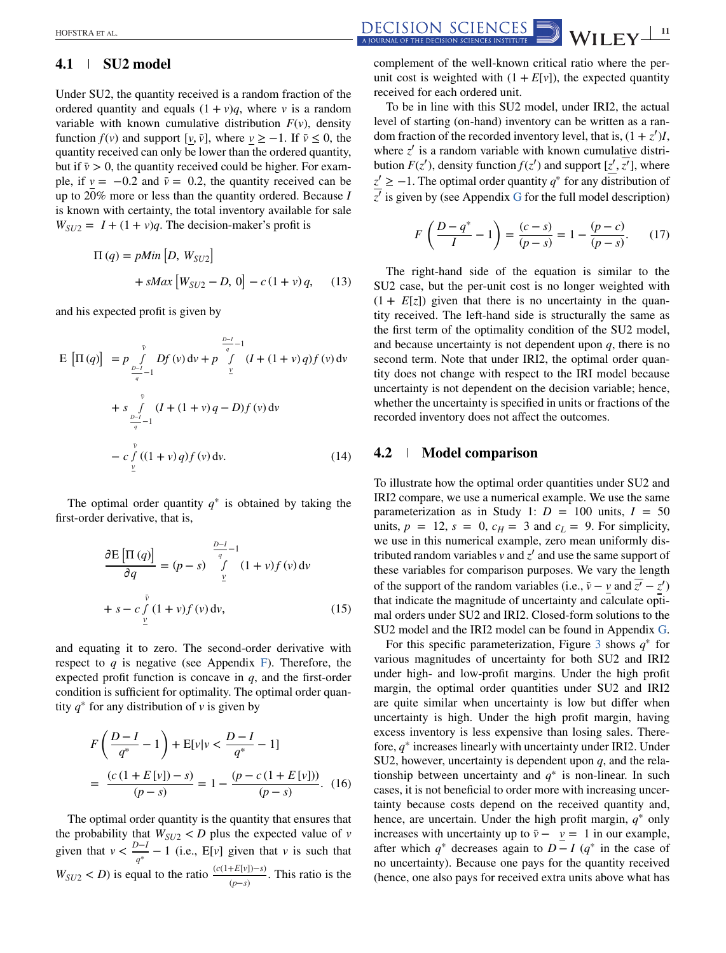# **4.1 SU2 model**

Under SU2, the quantity received is a random fraction of the ordered quantity and equals  $(1 + v)q$ , where *v* is a random variable with known cumulative distribution  $F(v)$ , density function  $f(v)$  and support [ $v, \bar{v}$ ], where  $v \ge -1$ . If  $\bar{v} \le 0$ , the quantity received can only be lower than the ordered quantity, but if  $\bar{v} > 0$ , the quantity received could be higher. For example, if  $v = -0.2$  and  $\bar{v} = 0.2$ , the quantity received can be up to 20% more or less than the quantity ordered. Because *I* is known with certainty, the total inventory available for sale  $W_{SU2} = I + (1 + v)q$ . The decision-maker's profit is

$$
\Pi(q) = pMin [D, W_{SU2}] + sMax [W_{SU2} - D, 0] - c (1 + v) q,
$$
 (13)

and his expected profit is given by

$$
E\left[\Pi(q)\right] = p \int_{\frac{D-1}{q}-1}^{\bar{v}} Df(v) dv + p \int_{\frac{D}{q}}^{\frac{D-1}{q}-1} (I + (1+v) q) f(v) dv
$$
  
+ 
$$
s \int_{\frac{D-1}{q}-1}^{\bar{v}} (I + (1+v) q - D) f(v) dv
$$
  
- 
$$
c \int_{\frac{V}{q}}^{\bar{v}} ((1+v) q) f(v) dv.
$$
 (14)

The optimal order quantity  $q^*$  is obtained by taking the first-order derivative, that is,

$$
\frac{\partial E\left[\Pi(q)\right]}{\partial q} = (p-s)\int_{\underline{v}}^{\frac{D-1}{q}-1} (1+v)f(v) dv
$$
  
+  $s - c \int_{\underline{v}}^{\overline{v}} (1+v)f(v) dv,$  (15)

and equating it to zero. The second-order derivative with respect to  $q$  is negative (see Appendix F). Therefore, the expected profit function is concave in *q*, and the first-order condition is sufficient for optimality. The optimal order quantity  $q^*$  for any distribution of *v* is given by

$$
F\left(\frac{D-I}{q^*} - 1\right) + E[v|v < \frac{D-I}{q^*} - 1]
$$
  
= 
$$
\frac{(c(1 + E[v]) - s)}{(p - s)} = 1 - \frac{(p - c(1 + E[v]))}{(p - s)}.
$$
 (16)

The optimal order quantity is the quantity that ensures that the probability that  $W_{SU2}$  < *D* plus the expected value of *v* given that  $v < \frac{D-I}{q^*} - 1$  (i.e., E[*v*] given that *v* is such that  $W_{SU2} < D$ ) is equal to the ratio  $\frac{(c(1+E[v])-s)}{(p-s)}$ . This ratio is the

 $\frac{\text{DECISION SCIENCES}}{\text{ADIBMA OF THE DECISION SCIENCES}}$   $\frac{11}{\text{MDIENCES}}$ 

complement of the well-known critical ratio where the perunit cost is weighted with  $(1 + E[v])$ , the expected quantity received for each ordered unit.

To be in line with this SU2 model, under IRI2, the actual level of starting (on-hand) inventory can be written as a random fraction of the recorded inventory level, that is,  $(1 + z')I$ , where  $z'$  is a random variable with known cumulative distribution  $F(z')$ , density function  $f(z')$  and support  $[z', \overline{z'}]$ , where *z*′ ≥ −1. The optimal order quantity *q*<sup>∗</sup> for any distribution of  $\overline{z'}$  is given by (see Appendix G for the full model description)

$$
F\left(\frac{D-q^*}{I}-1\right) = \frac{(c-s)}{(p-s)} = 1 - \frac{(p-c)}{(p-s)}.\tag{17}
$$

The right-hand side of the equation is similar to the SU2 case, but the per-unit cost is no longer weighted with  $(1 + E[z])$  given that there is no uncertainty in the quantity received. The left-hand side is structurally the same as the first term of the optimality condition of the SU2 model, and because uncertainty is not dependent upon *q*, there is no second term. Note that under IRI2, the optimal order quantity does not change with respect to the IRI model because uncertainty is not dependent on the decision variable; hence, whether the uncertainty is specified in units or fractions of the recorded inventory does not affect the outcomes.

#### **4.2 Model comparison**

To illustrate how the optimal order quantities under SU2 and IRI2 compare, we use a numerical example. We use the same parameterization as in Study 1:  $D = 100$  units,  $I = 50$ units,  $p = 12$ ,  $s = 0$ ,  $c_H = 3$  and  $c_L = 9$ . For simplicity, we use in this numerical example, zero mean uniformly distributed random variables  $\nu$  and  $\tau'$  and use the same support of these variables for comparison purposes. We vary the length of the support of the random variables (i.e.,  $\bar{v} - v$  and  $\bar{z'} - z'$ ) that indicate the magnitude of uncertainty and calculate optimal orders under SU2 and IRI2. Closed-form solutions to the SU2 model and the IRI2 model can be found in Appendix G.

For this specific parameterization, Figure [3](#page-11-0) shows *q*<sup>∗</sup> for various magnitudes of uncertainty for both SU2 and IRI2 under high- and low-profit margins. Under the high profit margin, the optimal order quantities under SU2 and IRI2 are quite similar when uncertainty is low but differ when uncertainty is high. Under the high profit margin, having excess inventory is less expensive than losing sales. Therefore, *q*<sup>∗</sup> increases linearly with uncertainty under IRI2. Under SU2, however, uncertainty is dependent upon *q*, and the relationship between uncertainty and  $q^*$  is non-linear. In such cases, it is not beneficial to order more with increasing uncertainty because costs depend on the received quantity and, hence, are uncertain. Under the high profit margin, *q*<sup>∗</sup> only increases with uncertainty up to  $\bar{v} - v = 1$  in our example, after which  $q^*$  decreases again to  $D - I$  ( $q^*$  in the case of no uncertainty). Because one pays for the quantity received (hence, one also pays for received extra units above what has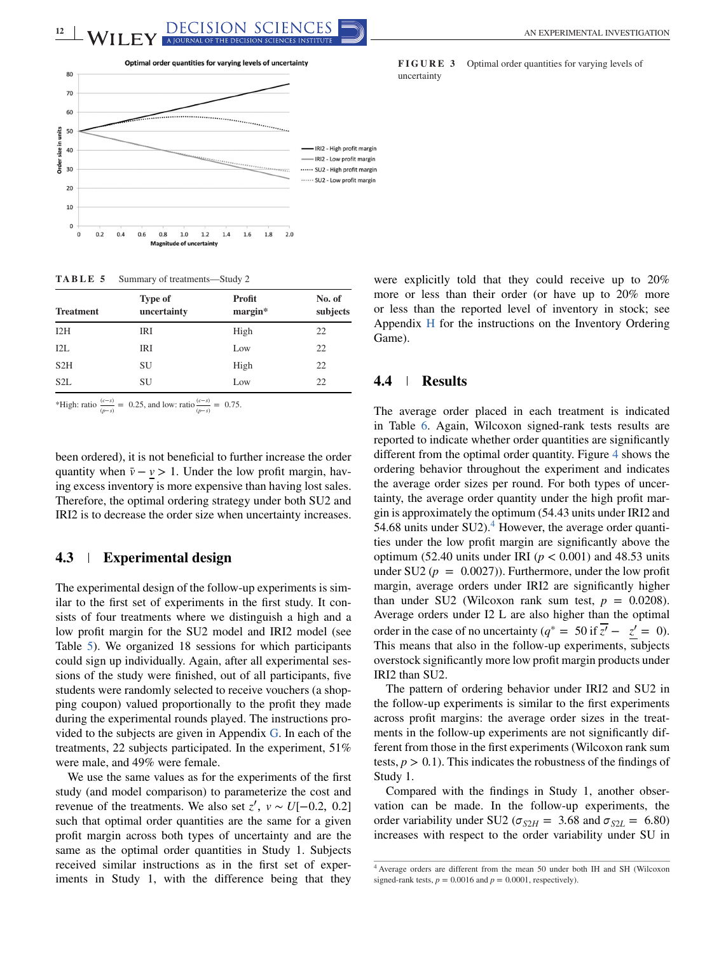<span id="page-11-0"></span>

#### **TABLE 5** Summary of treatments—Study 2

| <b>Treatment</b> | <b>Type of</b><br>uncertainty | Profit<br>margin* | No. of<br>subjects |
|------------------|-------------------------------|-------------------|--------------------|
| 12H              | IRI                           | High              | 22                 |
| 12L              | IRI                           | Low               | 22                 |
| S2H              | SU                            | High              | 22                 |
| S <sub>2</sub> L | SU                            | Low               | 22                 |

\*High: ratio  $\frac{(c-s)}{(p-s)} = 0.25$ , and low: ratio  $\frac{(c-s)}{(p-s)} = 0.75$ .

been ordered), it is not beneficial to further increase the order quantity when  $\bar{v} - v > 1$ . Under the low profit margin, having excess inventory is more expensive than having lost sales. Therefore, the optimal ordering strategy under both SU2 and IRI2 is to decrease the order size when uncertainty increases.

### **4.3 Experimental design**

The experimental design of the follow-up experiments is similar to the first set of experiments in the first study. It consists of four treatments where we distinguish a high and a low profit margin for the SU2 model and IRI2 model (see Table 5). We organized 18 sessions for which participants could sign up individually. Again, after all experimental sessions of the study were finished, out of all participants, five students were randomly selected to receive vouchers (a shopping coupon) valued proportionally to the profit they made during the experimental rounds played. The instructions provided to the subjects are given in Appendix G. In each of the treatments, 22 subjects participated. In the experiment, 51% were male, and 49% were female.

We use the same values as for the experiments of the first study (and model comparison) to parameterize the cost and revenue of the treatments. We also set  $z'$ ,  $v \sim U[-0.2, 0.2]$ such that optimal order quantities are the same for a given profit margin across both types of uncertainty and are the same as the optimal order quantities in Study 1. Subjects received similar instructions as in the first set of experiments in Study 1, with the difference being that they **FIGURE 3** Optimal order quantities for varying levels of uncertainty

were explicitly told that they could receive up to 20% more or less than their order (or have up to 20% more or less than the reported level of inventory in stock; see Appendix H for the instructions on the Inventory Ordering Game).

#### **4.4 Results**

The average order placed in each treatment is indicated in Table [6.](#page-12-0) Again, Wilcoxon signed-rank tests results are reported to indicate whether order quantities are significantly different from the optimal order quantity. Figure [4](#page-12-0) shows the ordering behavior throughout the experiment and indicates the average order sizes per round. For both types of uncertainty, the average order quantity under the high profit margin is approximately the optimum (54.43 units under IRI2 and 54.68 units under  $SU(2)$ .<sup>4</sup> However, the average order quantities under the low profit margin are significantly above the optimum (52.40 units under IRI ( $p < 0.001$ ) and 48.53 units under SU2 ( $p = 0.0027$ ). Furthermore, under the low profit margin, average orders under IRI2 are significantly higher than under SU2 (Wilcoxon rank sum test,  $p = 0.0208$ ). Average orders under I2 L are also higher than the optimal order in the case of no uncertainty ( $q^* = 50$  if  $\overline{z'} - z' = 0$ ). This means that also in the follow-up experiments, subjects overstock significantly more low profit margin products under IRI2 than SU2.

The pattern of ordering behavior under IRI2 and SU2 in the follow-up experiments is similar to the first experiments across profit margins: the average order sizes in the treatments in the follow-up experiments are not significantly different from those in the first experiments (Wilcoxon rank sum tests,  $p > 0.1$ ). This indicates the robustness of the findings of Study 1.

Compared with the findings in Study 1, another observation can be made. In the follow-up experiments, the order variability under SU2 ( $\sigma_{S2H}$  = 3.68 and  $\sigma_{S2L}$  = 6.80) increases with respect to the order variability under SU in

<sup>4</sup> Average orders are different from the mean 50 under both IH and SH (Wilcoxon signed-rank tests,  $p = 0.0016$  and  $p = 0.0001$ , respectively).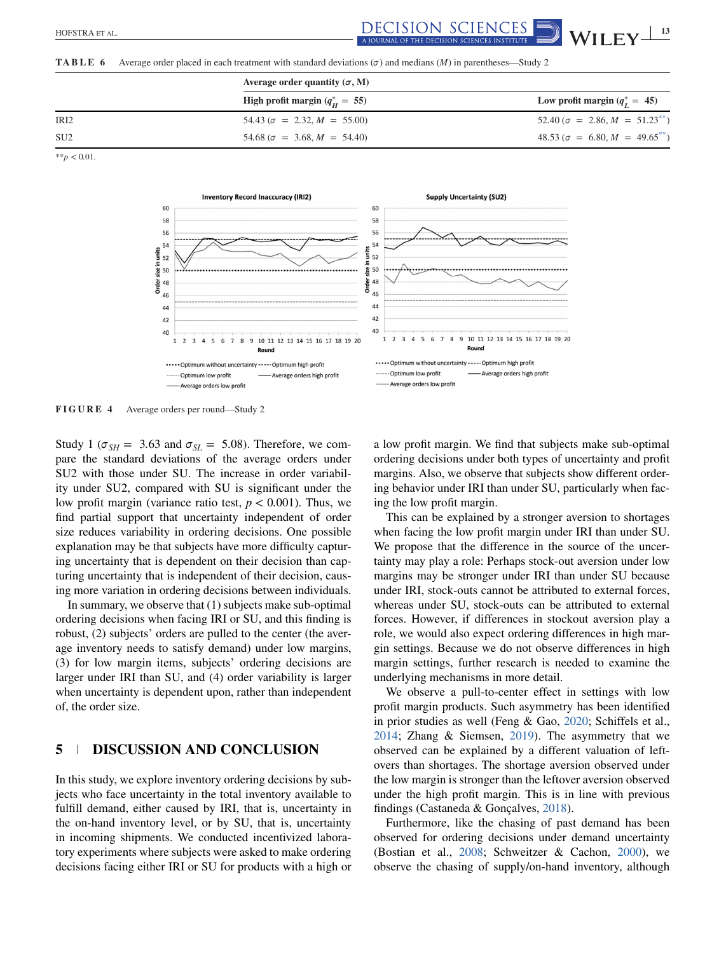<span id="page-12-0"></span> $\frac{\text{DECISION SCIENCES}}{\text{A IOIBNAI OF THE DECISION SCIENCES}}$   $\frac{\text{MII FV}^{-13}}{\text{MII}}$ 

**TABLE 6** Average order placed in each treatment with standard deviations  $(\sigma)$  and medians  $(M)$  in parentheses—Study 2

|                  | Average order quantity $(\sigma, M)$             |                                         |
|------------------|--------------------------------------------------|-----------------------------------------|
|                  | High profit margin ( $q_{\overline{H}}^* = 55$ ) | Low profit margin $(q^*_r = 45)$        |
| IR <sub>I2</sub> | $54.43 (\sigma = 2.32, M = 55.00)$               | $52.40 (\sigma = 2.86, M = 51.23^{**})$ |
| SU <sub>2</sub>  | $54.68$ ( $\sigma = 3.68$ , $M = 54.40$ )        | $48.53 (\sigma = 6.80, M = 49.65^{**})$ |

\*\**p* < 0.01.



**FIGURE 4** Average orders per round—Study 2

Study 1 ( $\sigma_{SH}$  = 3.63 and  $\sigma_{SL}$  = 5.08). Therefore, we compare the standard deviations of the average orders under SU2 with those under SU. The increase in order variability under SU2, compared with SU is significant under the low profit margin (variance ratio test,  $p < 0.001$ ). Thus, we find partial support that uncertainty independent of order size reduces variability in ordering decisions. One possible explanation may be that subjects have more difficulty capturing uncertainty that is dependent on their decision than capturing uncertainty that is independent of their decision, causing more variation in ordering decisions between individuals.

In summary, we observe that (1) subjects make sub-optimal ordering decisions when facing IRI or SU, and this finding is robust, (2) subjects' orders are pulled to the center (the average inventory needs to satisfy demand) under low margins, (3) for low margin items, subjects' ordering decisions are larger under IRI than SU, and (4) order variability is larger when uncertainty is dependent upon, rather than independent of, the order size.

# **5 DISCUSSION AND CONCLUSION**

In this study, we explore inventory ordering decisions by subjects who face uncertainty in the total inventory available to fulfill demand, either caused by IRI, that is, uncertainty in the on-hand inventory level, or by SU, that is, uncertainty in incoming shipments. We conducted incentivized laboratory experiments where subjects were asked to make ordering decisions facing either IRI or SU for products with a high or a low profit margin. We find that subjects make sub-optimal ordering decisions under both types of uncertainty and profit margins. Also, we observe that subjects show different ordering behavior under IRI than under SU, particularly when facing the low profit margin.

This can be explained by a stronger aversion to shortages when facing the low profit margin under IRI than under SU. We propose that the difference in the source of the uncertainty may play a role: Perhaps stock-out aversion under low margins may be stronger under IRI than under SU because under IRI, stock-outs cannot be attributed to external forces, whereas under SU, stock-outs can be attributed to external forces. However, if differences in stockout aversion play a role, we would also expect ordering differences in high margin settings. Because we do not observe differences in high margin settings, further research is needed to examine the underlying mechanisms in more detail.

We observe a pull-to-center effect in settings with low profit margin products. Such asymmetry has been identified in prior studies as well (Feng & Gao, [2020;](#page-14-0) Schiffels et al., [2014;](#page-14-0) Zhang & Siemsen, [2019\)](#page-15-0). The asymmetry that we observed can be explained by a different valuation of leftovers than shortages. The shortage aversion observed under the low margin is stronger than the leftover aversion observed under the high profit margin. This is in line with previous findings (Castaneda & Gonçalves, [2018\)](#page-13-0).

Furthermore, like the chasing of past demand has been observed for ordering decisions under demand uncertainty (Bostian et al., [2008;](#page-13-0) Schweitzer & Cachon, [2000\)](#page-14-0), we observe the chasing of supply/on-hand inventory, although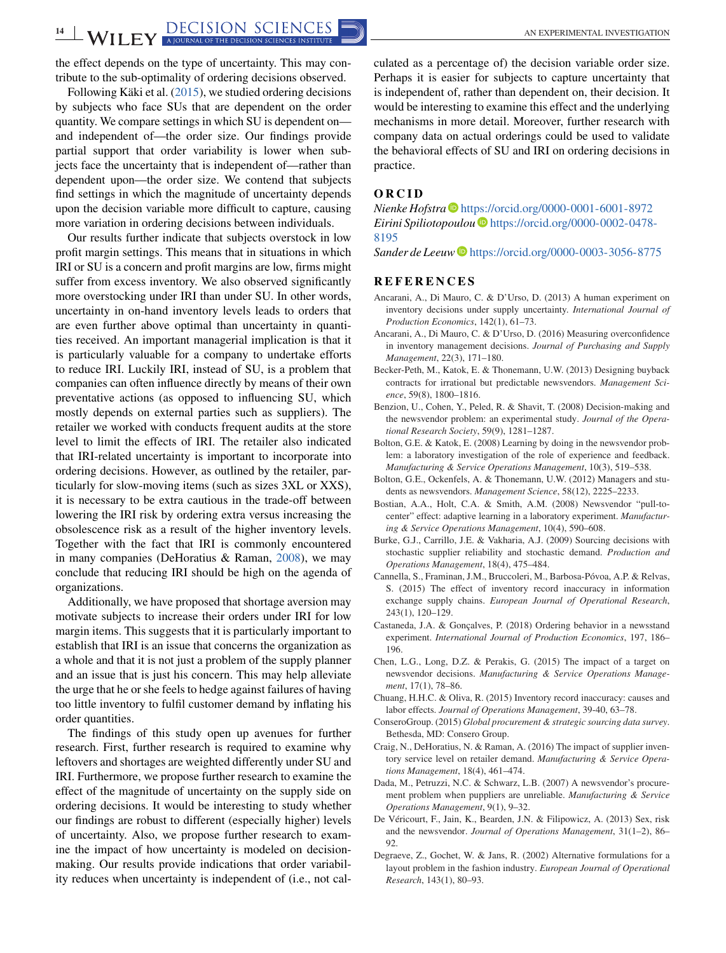<span id="page-13-0"></span>the effect depends on the type of uncertainty. This may contribute to the sub-optimality of ordering decisions observed.

Following Käki et al. [\(2015\)](#page-14-0), we studied ordering decisions by subjects who face SUs that are dependent on the order quantity. We compare settings in which SU is dependent on and independent of—the order size. Our findings provide partial support that order variability is lower when subjects face the uncertainty that is independent of—rather than dependent upon—the order size. We contend that subjects find settings in which the magnitude of uncertainty depends upon the decision variable more difficult to capture, causing more variation in ordering decisions between individuals.

Our results further indicate that subjects overstock in low profit margin settings. This means that in situations in which IRI or SU is a concern and profit margins are low, firms might suffer from excess inventory. We also observed significantly more overstocking under IRI than under SU. In other words, uncertainty in on-hand inventory levels leads to orders that are even further above optimal than uncertainty in quantities received. An important managerial implication is that it is particularly valuable for a company to undertake efforts to reduce IRI. Luckily IRI, instead of SU, is a problem that companies can often influence directly by means of their own preventative actions (as opposed to influencing SU, which mostly depends on external parties such as suppliers). The retailer we worked with conducts frequent audits at the store level to limit the effects of IRI. The retailer also indicated that IRI-related uncertainty is important to incorporate into ordering decisions. However, as outlined by the retailer, particularly for slow-moving items (such as sizes 3XL or XXS), it is necessary to be extra cautious in the trade-off between lowering the IRI risk by ordering extra versus increasing the obsolescence risk as a result of the higher inventory levels. Together with the fact that IRI is commonly encountered in many companies (DeHoratius & Raman, [2008\)](#page-14-0), we may conclude that reducing IRI should be high on the agenda of organizations.

Additionally, we have proposed that shortage aversion may motivate subjects to increase their orders under IRI for low margin items. This suggests that it is particularly important to establish that IRI is an issue that concerns the organization as a whole and that it is not just a problem of the supply planner and an issue that is just his concern. This may help alleviate the urge that he or she feels to hedge against failures of having too little inventory to fulfil customer demand by inflating his order quantities.

The findings of this study open up avenues for further research. First, further research is required to examine why leftovers and shortages are weighted differently under SU and IRI. Furthermore, we propose further research to examine the effect of the magnitude of uncertainty on the supply side on ordering decisions. It would be interesting to study whether our findings are robust to different (especially higher) levels of uncertainty. Also, we propose further research to examine the impact of how uncertainty is modeled on decisionmaking. Our results provide indications that order variability reduces when uncertainty is independent of (i.e., not calculated as a percentage of) the decision variable order size. Perhaps it is easier for subjects to capture uncertainty that is independent of, rather than dependent on, their decision. It would be interesting to examine this effect and the underlying mechanisms in more detail. Moreover, further research with company data on actual orderings could be used to validate the behavioral effects of SU and IRI on ordering decisions in practice.

#### **ORCID**

*Nienke Hofstra* **D** <https://orcid.org/0000-0001-6001-8972> *Eirini Spiliotopoulou* [https://orcid.org/0000-0002-0478-](https://orcid.org/0000-0002-0478-8195) [8195](https://orcid.org/0000-0002-0478-8195)

*Sander de Leeuw* **b** <https://orcid.org/0000-0003-3056-8775>

#### **REFERENCES**

- Ancarani, A., Di Mauro, C. & D'Urso, D. (2013) A human experiment on inventory decisions under supply uncertainty. *International Journal of Production Economics*, 142(1), 61–73.
- Ancarani, A., Di Mauro, C. & D'Urso, D. (2016) Measuring overconfidence in inventory management decisions. *Journal of Purchasing and Supply Management*, 22(3), 171–180.
- Becker-Peth, M., Katok, E. & Thonemann, U.W. (2013) Designing buyback contracts for irrational but predictable newsvendors. *Management Science*, 59(8), 1800–1816.
- Benzion, U., Cohen, Y., Peled, R. & Shavit, T. (2008) Decision-making and the newsvendor problem: an experimental study. *Journal of the Operational Research Society*, 59(9), 1281–1287.
- Bolton, G.E. & Katok, E. (2008) Learning by doing in the newsvendor problem: a laboratory investigation of the role of experience and feedback. *Manufacturing & Service Operations Management*, 10(3), 519–538.
- Bolton, G.E., Ockenfels, A. & Thonemann, U.W. (2012) Managers and students as newsvendors. *Management Science*, 58(12), 2225–2233.
- Bostian, A.A., Holt, C.A. & Smith, A.M. (2008) Newsvendor "pull-tocenter" effect: adaptive learning in a laboratory experiment. *Manufacturing & Service Operations Management*, 10(4), 590–608.
- Burke, G.J., Carrillo, J.E. & Vakharia, A.J. (2009) Sourcing decisions with stochastic supplier reliability and stochastic demand. *Production and Operations Management*, 18(4), 475–484.
- Cannella, S., Framinan, J.M., Bruccoleri, M., Barbosa-Póvoa, A.P. & Relvas, S. (2015) The effect of inventory record inaccuracy in information exchange supply chains. *European Journal of Operational Research*, 243(1), 120–129.
- Castaneda, J.A. & Gonçalves, P. (2018) Ordering behavior in a newsstand experiment. *International Journal of Production Economics*, 197, 186– 196.
- Chen, L.G., Long, D.Z. & Perakis, G. (2015) The impact of a target on newsvendor decisions. *Manufacturing & Service Operations Management*, 17(1), 78–86.
- Chuang, H.H.C. & Oliva, R. (2015) Inventory record inaccuracy: causes and labor effects. *Journal of Operations Management*, 39-40, 63–78.
- ConseroGroup. (2015) *Global procurement & strategic sourcing data survey*. Bethesda, MD: Consero Group.
- Craig, N., DeHoratius, N. & Raman, A. (2016) The impact of supplier inventory service level on retailer demand. *Manufacturing & Service Operations Management*, 18(4), 461–474.
- Dada, M., Petruzzi, N.C. & Schwarz, L.B. (2007) A newsvendor's procurement problem when puppliers are unreliable. *Manufacturing & Service Operations Management*, 9(1), 9–32.
- De Véricourt, F., Jain, K., Bearden, J.N. & Filipowicz, A. (2013) Sex, risk and the newsvendor. *Journal of Operations Management*, 31(1–2), 86– 92.
- Degraeve, Z., Gochet, W. & Jans, R. (2002) Alternative formulations for a layout problem in the fashion industry. *European Journal of Operational Research*, 143(1), 80–93.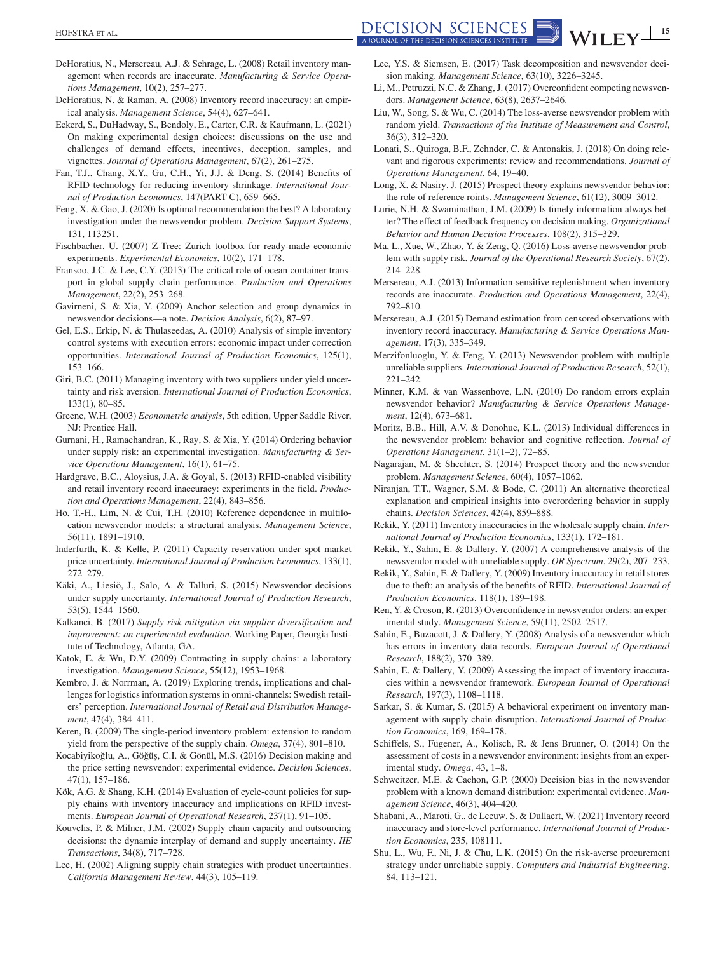- <span id="page-14-0"></span>DeHoratius, N., Mersereau, A.J. & Schrage, L. (2008) Retail inventory management when records are inaccurate. *Manufacturing & Service Operations Management*, 10(2), 257–277.
- DeHoratius, N. & Raman, A. (2008) Inventory record inaccuracy: an empirical analysis. *Management Science*, 54(4), 627–641.
- Eckerd, S., DuHadway, S., Bendoly, E., Carter, C.R. & Kaufmann, L. (2021) On making experimental design choices: discussions on the use and challenges of demand effects, incentives, deception, samples, and vignettes. *Journal of Operations Management*, 67(2), 261–275.
- Fan, T.J., Chang, X.Y., Gu, C.H., Yi, J.J. & Deng, S. (2014) Benefits of RFID technology for reducing inventory shrinkage. *International Journal of Production Economics*, 147(PART C), 659–665.
- Feng, X. & Gao, J. (2020) Is optimal recommendation the best? A laboratory investigation under the newsvendor problem. *Decision Support Systems*, 131, 113251.
- Fischbacher, U. (2007) Z-Tree: Zurich toolbox for ready-made economic experiments. *Experimental Economics*, 10(2), 171–178.
- Fransoo, J.C. & Lee, C.Y. (2013) The critical role of ocean container transport in global supply chain performance. *Production and Operations Management*, 22(2), 253–268.
- Gavirneni, S. & Xia, Y. (2009) Anchor selection and group dynamics in newsvendor decisions—a note. *Decision Analysis*, 6(2), 87–97.
- Gel, E.S., Erkip, N. & Thulaseedas, A. (2010) Analysis of simple inventory control systems with execution errors: economic impact under correction opportunities. *International Journal of Production Economics*, 125(1), 153–166.
- Giri, B.C. (2011) Managing inventory with two suppliers under yield uncertainty and risk aversion. *International Journal of Production Economics*, 133(1), 80–85.
- Greene, W.H. (2003) *Econometric analysis*, 5th edition, Upper Saddle River, NJ: Prentice Hall.
- Gurnani, H., Ramachandran, K., Ray, S. & Xia, Y. (2014) Ordering behavior under supply risk: an experimental investigation. *Manufacturing & Service Operations Management*, 16(1), 61–75.
- Hardgrave, B.C., Aloysius, J.A. & Goyal, S. (2013) RFID-enabled visibility and retail inventory record inaccuracy: experiments in the field. *Production and Operations Management*, 22(4), 843–856.
- Ho, T.-H., Lim, N. & Cui, T.H. (2010) Reference dependence in multilocation newsvendor models: a structural analysis. *Management Science*, 56(11), 1891–1910.
- Inderfurth, K. & Kelle, P. (2011) Capacity reservation under spot market price uncertainty. *International Journal of Production Economics*, 133(1), 272–279.
- Käki, A., Liesiö, J., Salo, A. & Talluri, S. (2015) Newsvendor decisions under supply uncertainty. *International Journal of Production Research*, 53(5), 1544–1560.
- Kalkanci, B. (2017) *Supply risk mitigation via supplier diversification and improvement: an experimental evaluation*. Working Paper, Georgia Institute of Technology, Atlanta, GA.
- Katok, E. & Wu, D.Y. (2009) Contracting in supply chains: a laboratory investigation. *Management Science*, 55(12), 1953–1968.
- Kembro, J. & Norrman, A. (2019) Exploring trends, implications and challenges for logistics information systems in omni-channels: Swedish retailers' perception. *International Journal of Retail and Distribution Management*, 47(4), 384–411.
- Keren, B. (2009) The single-period inventory problem: extension to random yield from the perspective of the supply chain. *Omega*, 37(4), 801–810.
- Kocabiyikoğlu, A., Göğüş, C.I. & Gönül, M.S. (2016) Decision making and the price setting newsvendor: experimental evidence. *Decision Sciences*, 47(1), 157–186.
- Kök, A.G. & Shang, K.H. (2014) Evaluation of cycle-count policies for supply chains with inventory inaccuracy and implications on RFID investments. *European Journal of Operational Research*, 237(1), 91–105.
- Kouvelis, P. & Milner, J.M. (2002) Supply chain capacity and outsourcing decisions: the dynamic interplay of demand and supply uncertainty. *IIE Transactions*, 34(8), 717–728.
- Lee, H. (2002) Aligning supply chain strategies with product uncertainties. *California Management Review*, 44(3), 105–119.
- Lee, Y.S. & Siemsen, E. (2017) Task decomposition and newsvendor decision making. *Management Science*, 63(10), 3226–3245.
- Li, M., Petruzzi, N.C. & Zhang, J. (2017) Overconfident competing newsvendors. *Management Science*, 63(8), 2637–2646.
- Liu, W., Song, S. & Wu, C. (2014) The loss-averse newsvendor problem with random yield. *Transactions of the Institute of Measurement and Control*, 36(3), 312–320.
- Lonati, S., Quiroga, B.F., Zehnder, C. & Antonakis, J. (2018) On doing relevant and rigorous experiments: review and recommendations. *Journal of Operations Management*, 64, 19–40.
- Long, X. & Nasiry, J. (2015) Prospect theory explains newsvendor behavior: the role of reference roints. *Management Science*, 61(12), 3009–3012.
- Lurie, N.H. & Swaminathan, J.M. (2009) Is timely information always better? The effect of feedback frequency on decision making. *Organizational Behavior and Human Decision Processes*, 108(2), 315–329.
- Ma, L., Xue, W., Zhao, Y. & Zeng, Q. (2016) Loss-averse newsvendor problem with supply risk. *Journal of the Operational Research Society*, 67(2), 214–228.
- Mersereau, A.J. (2013) Information-sensitive replenishment when inventory records are inaccurate. *Production and Operations Management*, 22(4), 792–810.
- Mersereau, A.J. (2015) Demand estimation from censored observations with inventory record inaccuracy. *Manufacturing & Service Operations Management*, 17(3), 335–349.
- Merzifonluoglu, Y. & Feng, Y. (2013) Newsvendor problem with multiple unreliable suppliers. *International Journal of Production Research*, 52(1), 221–242.
- Minner, K.M. & van Wassenhove, L.N. (2010) Do random errors explain newsvendor behavior? *Manufacturing & Service Operations Management*, 12(4), 673–681.
- Moritz, B.B., Hill, A.V. & Donohue, K.L. (2013) Individual differences in the newsvendor problem: behavior and cognitive reflection. *Journal of Operations Management*, 31(1–2), 72–85.
- Nagarajan, M. & Shechter, S. (2014) Prospect theory and the newsvendor problem. *Management Science*, 60(4), 1057–1062.
- Niranjan, T.T., Wagner, S.M. & Bode, C. (2011) An alternative theoretical explanation and empirical insights into overordering behavior in supply chains. *Decision Sciences*, 42(4), 859–888.
- Rekik, Y. (2011) Inventory inaccuracies in the wholesale supply chain. *International Journal of Production Economics*, 133(1), 172–181.
- Rekik, Y., Sahin, E. & Dallery, Y. (2007) A comprehensive analysis of the newsvendor model with unreliable supply. *OR Spectrum*, 29(2), 207–233.
- Rekik, Y., Sahin, E. & Dallery, Y. (2009) Inventory inaccuracy in retail stores due to theft: an analysis of the benefits of RFID. *International Journal of Production Economics*, 118(1), 189–198.
- Ren, Y. & Croson, R. (2013) Overconfidence in newsvendor orders: an experimental study. *Management Science*, 59(11), 2502–2517.
- Sahin, E., Buzacott, J. & Dallery, Y. (2008) Analysis of a newsvendor which has errors in inventory data records. *European Journal of Operational Research*, 188(2), 370–389.
- Sahin, E. & Dallery, Y. (2009) Assessing the impact of inventory inaccuracies within a newsvendor framework. *European Journal of Operational Research*, 197(3), 1108–1118.
- Sarkar, S. & Kumar, S. (2015) A behavioral experiment on inventory management with supply chain disruption. *International Journal of Production Economics*, 169, 169–178.
- Schiffels, S., Fügener, A., Kolisch, R. & Jens Brunner, O. (2014) On the assessment of costs in a newsvendor environment: insights from an experimental study. *Omega*, 43, 1–8.
- Schweitzer, M.E. & Cachon, G.P. (2000) Decision bias in the newsvendor problem with a known demand distribution: experimental evidence. *Management Science*, 46(3), 404–420.
- Shabani, A., Maroti, G., de Leeuw, S. & Dullaert, W. (2021) Inventory record inaccuracy and store-level performance. *International Journal of Production Economics*, 235, 108111.
- Shu, L., Wu, F., Ni, J. & Chu, L.K. (2015) On the risk-averse procurement strategy under unreliable supply. *Computers and Industrial Engineering*, 84, 113–121.